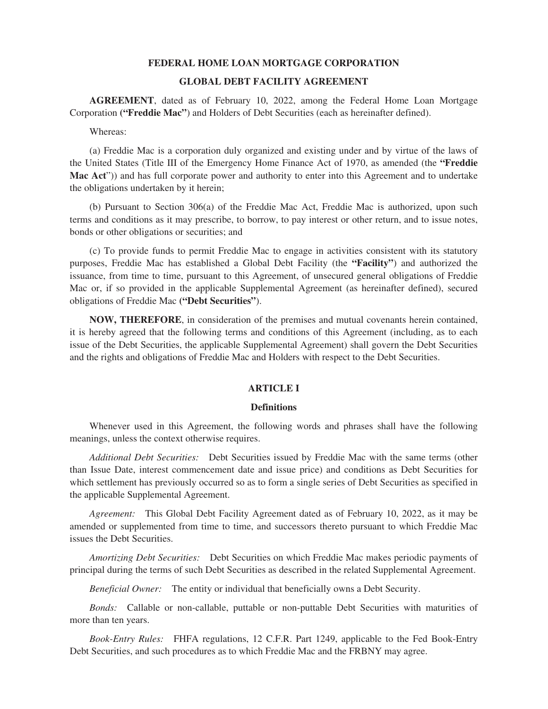# **FEDERAL HOME LOAN MORTGAGE CORPORATION**

# **GLOBAL DEBT FACILITY AGREEMENT**

**AGREEMENT**, dated as of February 10, 2022, among the Federal Home Loan Mortgage Corporation **("Freddie Mac"**) and Holders of Debt Securities (each as hereinafter defined).

Whereas:

(a) Freddie Mac is a corporation duly organized and existing under and by virtue of the laws of the United States (Title III of the Emergency Home Finance Act of 1970, as amended (the **"Freddie Mac Act**")) and has full corporate power and authority to enter into this Agreement and to undertake the obligations undertaken by it herein;

(b) Pursuant to Section 306(a) of the Freddie Mac Act, Freddie Mac is authorized, upon such terms and conditions as it may prescribe, to borrow, to pay interest or other return, and to issue notes, bonds or other obligations or securities; and

(c) To provide funds to permit Freddie Mac to engage in activities consistent with its statutory purposes, Freddie Mac has established a Global Debt Facility (the **"Facility"**) and authorized the issuance, from time to time, pursuant to this Agreement, of unsecured general obligations of Freddie Mac or, if so provided in the applicable Supplemental Agreement (as hereinafter defined), secured obligations of Freddie Mac **("Debt Securities"**).

**NOW, THEREFORE**, in consideration of the premises and mutual covenants herein contained, it is hereby agreed that the following terms and conditions of this Agreement (including, as to each issue of the Debt Securities, the applicable Supplemental Agreement) shall govern the Debt Securities and the rights and obligations of Freddie Mac and Holders with respect to the Debt Securities.

# **ARTICLE I**

## **Definitions**

Whenever used in this Agreement, the following words and phrases shall have the following meanings, unless the context otherwise requires.

*Additional Debt Securities:* Debt Securities issued by Freddie Mac with the same terms (other than Issue Date, interest commencement date and issue price) and conditions as Debt Securities for which settlement has previously occurred so as to form a single series of Debt Securities as specified in the applicable Supplemental Agreement.

*Agreement:* This Global Debt Facility Agreement dated as of February 10, 2022, as it may be amended or supplemented from time to time, and successors thereto pursuant to which Freddie Mac issues the Debt Securities.

*Amortizing Debt Securities:* Debt Securities on which Freddie Mac makes periodic payments of principal during the terms of such Debt Securities as described in the related Supplemental Agreement.

*Beneficial Owner:* The entity or individual that beneficially owns a Debt Security.

*Bonds:* Callable or non-callable, puttable or non-puttable Debt Securities with maturities of more than ten years.

*Book-Entry Rules:* FHFA regulations, 12 C.F.R. Part 1249, applicable to the Fed Book-Entry Debt Securities, and such procedures as to which Freddie Mac and the FRBNY may agree.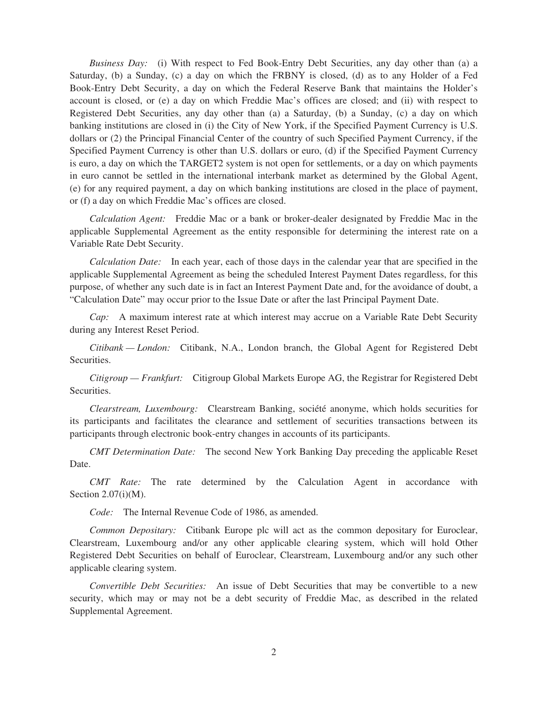*Business Day:* (i) With respect to Fed Book-Entry Debt Securities, any day other than (a) a Saturday, (b) a Sunday, (c) a day on which the FRBNY is closed, (d) as to any Holder of a Fed Book-Entry Debt Security, a day on which the Federal Reserve Bank that maintains the Holder's account is closed, or (e) a day on which Freddie Mac's offices are closed; and (ii) with respect to Registered Debt Securities, any day other than (a) a Saturday, (b) a Sunday, (c) a day on which banking institutions are closed in (i) the City of New York, if the Specified Payment Currency is U.S. dollars or (2) the Principal Financial Center of the country of such Specified Payment Currency, if the Specified Payment Currency is other than U.S. dollars or euro, (d) if the Specified Payment Currency is euro, a day on which the TARGET2 system is not open for settlements, or a day on which payments in euro cannot be settled in the international interbank market as determined by the Global Agent, (e) for any required payment, a day on which banking institutions are closed in the place of payment, or (f) a day on which Freddie Mac's offices are closed.

*Calculation Agent:* Freddie Mac or a bank or broker-dealer designated by Freddie Mac in the applicable Supplemental Agreement as the entity responsible for determining the interest rate on a Variable Rate Debt Security.

*Calculation Date:* In each year, each of those days in the calendar year that are specified in the applicable Supplemental Agreement as being the scheduled Interest Payment Dates regardless, for this purpose, of whether any such date is in fact an Interest Payment Date and, for the avoidance of doubt, a "Calculation Date" may occur prior to the Issue Date or after the last Principal Payment Date.

*Cap:* A maximum interest rate at which interest may accrue on a Variable Rate Debt Security during any Interest Reset Period.

*Citibank — London:* Citibank, N.A., London branch, the Global Agent for Registered Debt Securities.

*Citigroup — Frankfurt:* Citigroup Global Markets Europe AG, the Registrar for Registered Debt Securities.

*Clearstream, Luxembourg:* Clearstream Banking, société anonyme, which holds securities for its participants and facilitates the clearance and settlement of securities transactions between its participants through electronic book-entry changes in accounts of its participants.

*CMT Determination Date:* The second New York Banking Day preceding the applicable Reset Date.

*CMT Rate:* The rate determined by the Calculation Agent in accordance with Section 2.07(i)(M).

*Code:* The Internal Revenue Code of 1986, as amended.

*Common Depositary:* Citibank Europe plc will act as the common depositary for Euroclear, Clearstream, Luxembourg and/or any other applicable clearing system, which will hold Other Registered Debt Securities on behalf of Euroclear, Clearstream, Luxembourg and/or any such other applicable clearing system.

*Convertible Debt Securities:* An issue of Debt Securities that may be convertible to a new security, which may or may not be a debt security of Freddie Mac, as described in the related Supplemental Agreement.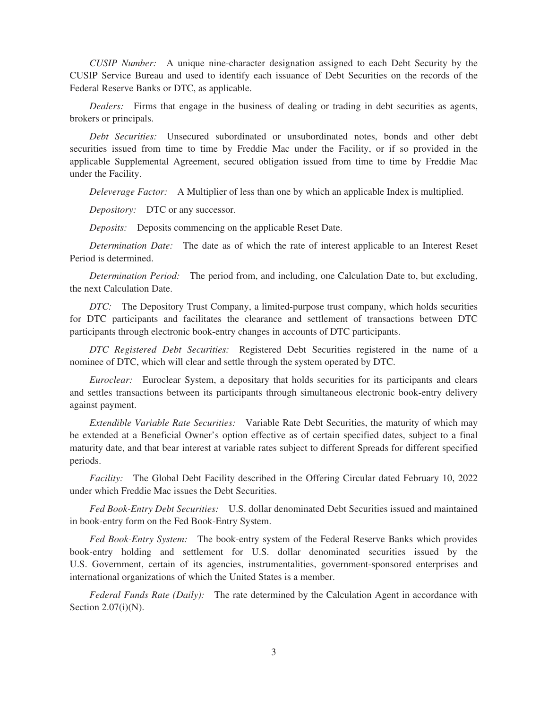*CUSIP Number:* A unique nine-character designation assigned to each Debt Security by the CUSIP Service Bureau and used to identify each issuance of Debt Securities on the records of the Federal Reserve Banks or DTC, as applicable.

*Dealers:* Firms that engage in the business of dealing or trading in debt securities as agents, brokers or principals.

*Debt Securities:* Unsecured subordinated or unsubordinated notes, bonds and other debt securities issued from time to time by Freddie Mac under the Facility, or if so provided in the applicable Supplemental Agreement, secured obligation issued from time to time by Freddie Mac under the Facility.

*Deleverage Factor:* A Multiplier of less than one by which an applicable Index is multiplied.

*Depository:* DTC or any successor.

*Deposits:* Deposits commencing on the applicable Reset Date.

*Determination Date:* The date as of which the rate of interest applicable to an Interest Reset Period is determined.

*Determination Period:* The period from, and including, one Calculation Date to, but excluding, the next Calculation Date.

*DTC:* The Depository Trust Company, a limited-purpose trust company, which holds securities for DTC participants and facilitates the clearance and settlement of transactions between DTC participants through electronic book-entry changes in accounts of DTC participants.

*DTC Registered Debt Securities:* Registered Debt Securities registered in the name of a nominee of DTC, which will clear and settle through the system operated by DTC.

*Euroclear:* Euroclear System, a depositary that holds securities for its participants and clears and settles transactions between its participants through simultaneous electronic book-entry delivery against payment.

*Extendible Variable Rate Securities:* Variable Rate Debt Securities, the maturity of which may be extended at a Beneficial Owner's option effective as of certain specified dates, subject to a final maturity date, and that bear interest at variable rates subject to different Spreads for different specified periods.

*Facility:* The Global Debt Facility described in the Offering Circular dated February 10, 2022 under which Freddie Mac issues the Debt Securities.

*Fed Book-Entry Debt Securities:* U.S. dollar denominated Debt Securities issued and maintained in book-entry form on the Fed Book-Entry System.

*Fed Book-Entry System:* The book-entry system of the Federal Reserve Banks which provides book-entry holding and settlement for U.S. dollar denominated securities issued by the U.S. Government, certain of its agencies, instrumentalities, government-sponsored enterprises and international organizations of which the United States is a member.

*Federal Funds Rate (Daily):* The rate determined by the Calculation Agent in accordance with Section  $2.07(i)(N)$ .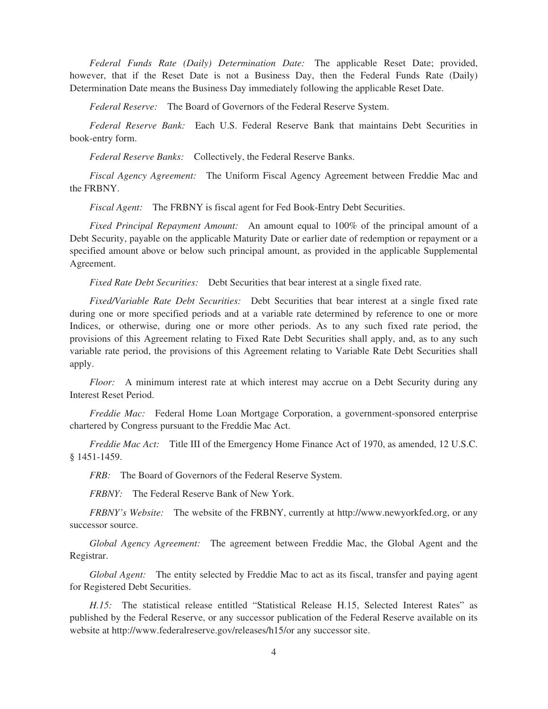*Federal Funds Rate (Daily) Determination Date:* The applicable Reset Date; provided, however, that if the Reset Date is not a Business Day, then the Federal Funds Rate (Daily) Determination Date means the Business Day immediately following the applicable Reset Date.

*Federal Reserve:* The Board of Governors of the Federal Reserve System.

*Federal Reserve Bank:* Each U.S. Federal Reserve Bank that maintains Debt Securities in book-entry form.

*Federal Reserve Banks:* Collectively, the Federal Reserve Banks.

*Fiscal Agency Agreement:* The Uniform Fiscal Agency Agreement between Freddie Mac and the FRBNY.

*Fiscal Agent:* The FRBNY is fiscal agent for Fed Book-Entry Debt Securities.

*Fixed Principal Repayment Amount:* An amount equal to 100% of the principal amount of a Debt Security, payable on the applicable Maturity Date or earlier date of redemption or repayment or a specified amount above or below such principal amount, as provided in the applicable Supplemental Agreement.

*Fixed Rate Debt Securities:* Debt Securities that bear interest at a single fixed rate.

*Fixed/Variable Rate Debt Securities:* Debt Securities that bear interest at a single fixed rate during one or more specified periods and at a variable rate determined by reference to one or more Indices, or otherwise, during one or more other periods. As to any such fixed rate period, the provisions of this Agreement relating to Fixed Rate Debt Securities shall apply, and, as to any such variable rate period, the provisions of this Agreement relating to Variable Rate Debt Securities shall apply.

*Floor:* A minimum interest rate at which interest may accrue on a Debt Security during any Interest Reset Period.

*Freddie Mac:* Federal Home Loan Mortgage Corporation, a government-sponsored enterprise chartered by Congress pursuant to the Freddie Mac Act.

*Freddie Mac Act:* Title III of the Emergency Home Finance Act of 1970, as amended, 12 U.S.C. § 1451-1459.

*FRB:* The Board of Governors of the Federal Reserve System.

*FRBNY:* The Federal Reserve Bank of New York.

*FRBNY's Website:* The website of the FRBNY, currently at http://www.newyorkfed.org, or any successor source.

*Global Agency Agreement:* The agreement between Freddie Mac, the Global Agent and the Registrar.

*Global Agent:* The entity selected by Freddie Mac to act as its fiscal, transfer and paying agent for Registered Debt Securities.

*H.15:* The statistical release entitled "Statistical Release H.15, Selected Interest Rates" as published by the Federal Reserve, or any successor publication of the Federal Reserve available on its website at http://www.federalreserve.gov/releases/h15/or any successor site.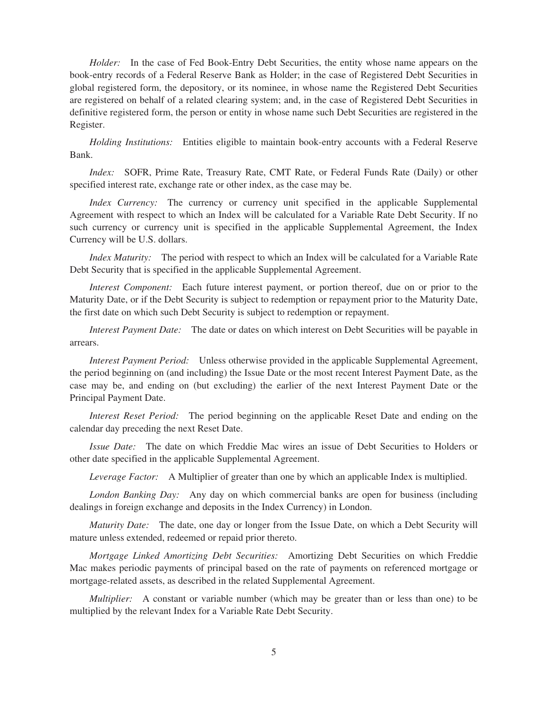*Holder:* In the case of Fed Book-Entry Debt Securities, the entity whose name appears on the book-entry records of a Federal Reserve Bank as Holder; in the case of Registered Debt Securities in global registered form, the depository, or its nominee, in whose name the Registered Debt Securities are registered on behalf of a related clearing system; and, in the case of Registered Debt Securities in definitive registered form, the person or entity in whose name such Debt Securities are registered in the Register.

*Holding Institutions:* Entities eligible to maintain book-entry accounts with a Federal Reserve Bank.

*Index:* SOFR, Prime Rate, Treasury Rate, CMT Rate, or Federal Funds Rate (Daily) or other specified interest rate, exchange rate or other index, as the case may be.

*Index Currency:* The currency or currency unit specified in the applicable Supplemental Agreement with respect to which an Index will be calculated for a Variable Rate Debt Security. If no such currency or currency unit is specified in the applicable Supplemental Agreement, the Index Currency will be U.S. dollars.

*Index Maturity:* The period with respect to which an Index will be calculated for a Variable Rate Debt Security that is specified in the applicable Supplemental Agreement.

*Interest Component:* Each future interest payment, or portion thereof, due on or prior to the Maturity Date, or if the Debt Security is subject to redemption or repayment prior to the Maturity Date, the first date on which such Debt Security is subject to redemption or repayment.

*Interest Payment Date:* The date or dates on which interest on Debt Securities will be payable in arrears.

*Interest Payment Period:* Unless otherwise provided in the applicable Supplemental Agreement, the period beginning on (and including) the Issue Date or the most recent Interest Payment Date, as the case may be, and ending on (but excluding) the earlier of the next Interest Payment Date or the Principal Payment Date.

*Interest Reset Period:* The period beginning on the applicable Reset Date and ending on the calendar day preceding the next Reset Date.

*Issue Date:* The date on which Freddie Mac wires an issue of Debt Securities to Holders or other date specified in the applicable Supplemental Agreement.

*Leverage Factor:* A Multiplier of greater than one by which an applicable Index is multiplied.

*London Banking Day:* Any day on which commercial banks are open for business (including dealings in foreign exchange and deposits in the Index Currency) in London.

*Maturity Date:* The date, one day or longer from the Issue Date, on which a Debt Security will mature unless extended, redeemed or repaid prior thereto.

*Mortgage Linked Amortizing Debt Securities:* Amortizing Debt Securities on which Freddie Mac makes periodic payments of principal based on the rate of payments on referenced mortgage or mortgage-related assets, as described in the related Supplemental Agreement.

*Multiplier:* A constant or variable number (which may be greater than or less than one) to be multiplied by the relevant Index for a Variable Rate Debt Security.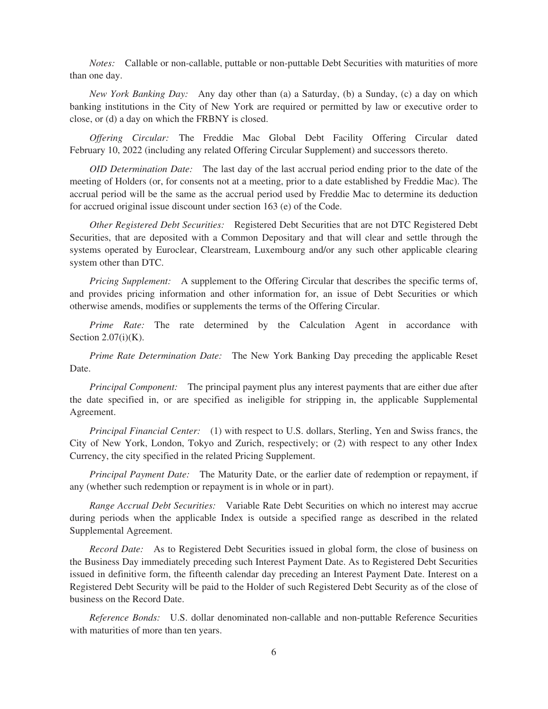*Notes:* Callable or non-callable, puttable or non-puttable Debt Securities with maturities of more than one day.

*New York Banking Day:* Any day other than (a) a Saturday, (b) a Sunday, (c) a day on which banking institutions in the City of New York are required or permitted by law or executive order to close, or (d) a day on which the FRBNY is closed.

*Offering Circular:* The Freddie Mac Global Debt Facility Offering Circular dated February 10, 2022 (including any related Offering Circular Supplement) and successors thereto.

*OID Determination Date:* The last day of the last accrual period ending prior to the date of the meeting of Holders (or, for consents not at a meeting, prior to a date established by Freddie Mac). The accrual period will be the same as the accrual period used by Freddie Mac to determine its deduction for accrued original issue discount under section 163 (e) of the Code.

*Other Registered Debt Securities:* Registered Debt Securities that are not DTC Registered Debt Securities, that are deposited with a Common Depositary and that will clear and settle through the systems operated by Euroclear, Clearstream, Luxembourg and/or any such other applicable clearing system other than DTC.

*Pricing Supplement:* A supplement to the Offering Circular that describes the specific terms of, and provides pricing information and other information for, an issue of Debt Securities or which otherwise amends, modifies or supplements the terms of the Offering Circular.

*Prime Rate:* The rate determined by the Calculation Agent in accordance with Section  $2.07(i)(K)$ .

*Prime Rate Determination Date:* The New York Banking Day preceding the applicable Reset Date.

*Principal Component:* The principal payment plus any interest payments that are either due after the date specified in, or are specified as ineligible for stripping in, the applicable Supplemental Agreement.

*Principal Financial Center:* (1) with respect to U.S. dollars, Sterling, Yen and Swiss francs, the City of New York, London, Tokyo and Zurich, respectively; or (2) with respect to any other Index Currency, the city specified in the related Pricing Supplement.

*Principal Payment Date:* The Maturity Date, or the earlier date of redemption or repayment, if any (whether such redemption or repayment is in whole or in part).

*Range Accrual Debt Securities:* Variable Rate Debt Securities on which no interest may accrue during periods when the applicable Index is outside a specified range as described in the related Supplemental Agreement.

*Record Date:* As to Registered Debt Securities issued in global form, the close of business on the Business Day immediately preceding such Interest Payment Date. As to Registered Debt Securities issued in definitive form, the fifteenth calendar day preceding an Interest Payment Date. Interest on a Registered Debt Security will be paid to the Holder of such Registered Debt Security as of the close of business on the Record Date.

*Reference Bonds:* U.S. dollar denominated non-callable and non-puttable Reference Securities with maturities of more than ten years.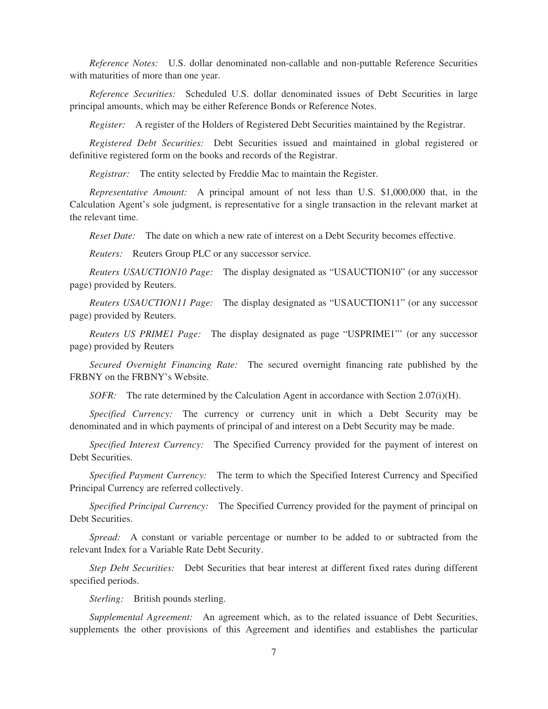*Reference Notes:* U.S. dollar denominated non-callable and non-puttable Reference Securities with maturities of more than one year.

*Reference Securities:* Scheduled U.S. dollar denominated issues of Debt Securities in large principal amounts, which may be either Reference Bonds or Reference Notes.

*Register:* A register of the Holders of Registered Debt Securities maintained by the Registrar.

*Registered Debt Securities:* Debt Securities issued and maintained in global registered or definitive registered form on the books and records of the Registrar.

*Registrar:* The entity selected by Freddie Mac to maintain the Register.

*Representative Amount:* A principal amount of not less than U.S. \$1,000,000 that, in the Calculation Agent's sole judgment, is representative for a single transaction in the relevant market at the relevant time.

*Reset Date:* The date on which a new rate of interest on a Debt Security becomes effective.

*Reuters:* Reuters Group PLC or any successor service.

*Reuters USAUCTION10 Page:* The display designated as "USAUCTION10" (or any successor page) provided by Reuters.

*Reuters USAUCTION11 Page:* The display designated as "USAUCTION11" (or any successor page) provided by Reuters.

*Reuters US PRIME1 Page:* The display designated as page "USPRIME1"' (or any successor page) provided by Reuters

*Secured Overnight Financing Rate:* The secured overnight financing rate published by the FRBNY on the FRBNY's Website.

*SOFR:* The rate determined by the Calculation Agent in accordance with Section 2.07(i)(H).

*Specified Currency:* The currency or currency unit in which a Debt Security may be denominated and in which payments of principal of and interest on a Debt Security may be made.

*Specified Interest Currency:* The Specified Currency provided for the payment of interest on Debt Securities.

*Specified Payment Currency:* The term to which the Specified Interest Currency and Specified Principal Currency are referred collectively.

*Specified Principal Currency:* The Specified Currency provided for the payment of principal on Debt Securities.

*Spread:* A constant or variable percentage or number to be added to or subtracted from the relevant Index for a Variable Rate Debt Security.

*Step Debt Securities:* Debt Securities that bear interest at different fixed rates during different specified periods.

*Sterling:* British pounds sterling.

*Supplemental Agreement:* An agreement which, as to the related issuance of Debt Securities, supplements the other provisions of this Agreement and identifies and establishes the particular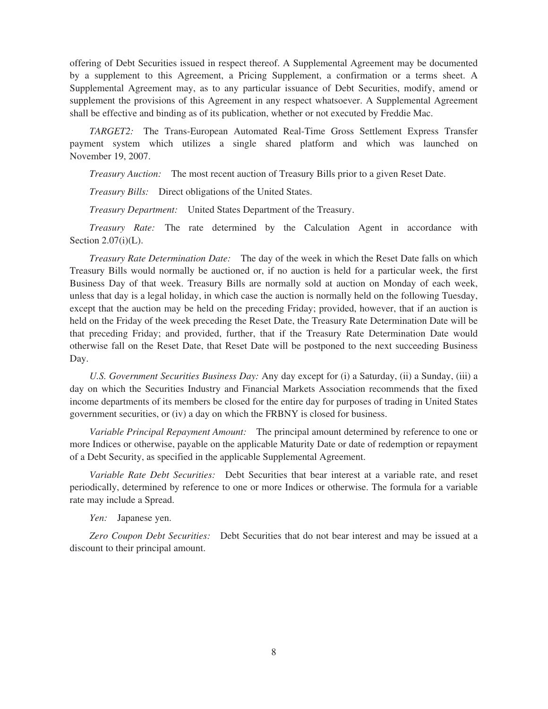offering of Debt Securities issued in respect thereof. A Supplemental Agreement may be documented by a supplement to this Agreement, a Pricing Supplement, a confirmation or a terms sheet. A Supplemental Agreement may, as to any particular issuance of Debt Securities, modify, amend or supplement the provisions of this Agreement in any respect whatsoever. A Supplemental Agreement shall be effective and binding as of its publication, whether or not executed by Freddie Mac.

*TARGET2:* The Trans-European Automated Real-Time Gross Settlement Express Transfer payment system which utilizes a single shared platform and which was launched on November 19, 2007.

*Treasury Auction:* The most recent auction of Treasury Bills prior to a given Reset Date.

*Treasury Bills:* Direct obligations of the United States.

*Treasury Department:* United States Department of the Treasury.

*Treasury Rate:* The rate determined by the Calculation Agent in accordance with Section  $2.07(i)(L)$ .

*Treasury Rate Determination Date:* The day of the week in which the Reset Date falls on which Treasury Bills would normally be auctioned or, if no auction is held for a particular week, the first Business Day of that week. Treasury Bills are normally sold at auction on Monday of each week, unless that day is a legal holiday, in which case the auction is normally held on the following Tuesday, except that the auction may be held on the preceding Friday; provided, however, that if an auction is held on the Friday of the week preceding the Reset Date, the Treasury Rate Determination Date will be that preceding Friday; and provided, further, that if the Treasury Rate Determination Date would otherwise fall on the Reset Date, that Reset Date will be postponed to the next succeeding Business Day.

*U.S. Government Securities Business Day:* Any day except for (i) a Saturday, (ii) a Sunday, (iii) a day on which the Securities Industry and Financial Markets Association recommends that the fixed income departments of its members be closed for the entire day for purposes of trading in United States government securities, or (iv) a day on which the FRBNY is closed for business.

*Variable Principal Repayment Amount:* The principal amount determined by reference to one or more Indices or otherwise, payable on the applicable Maturity Date or date of redemption or repayment of a Debt Security, as specified in the applicable Supplemental Agreement.

*Variable Rate Debt Securities:* Debt Securities that bear interest at a variable rate, and reset periodically, determined by reference to one or more Indices or otherwise. The formula for a variable rate may include a Spread.

*Yen:* Japanese yen.

*Zero Coupon Debt Securities:* Debt Securities that do not bear interest and may be issued at a discount to their principal amount.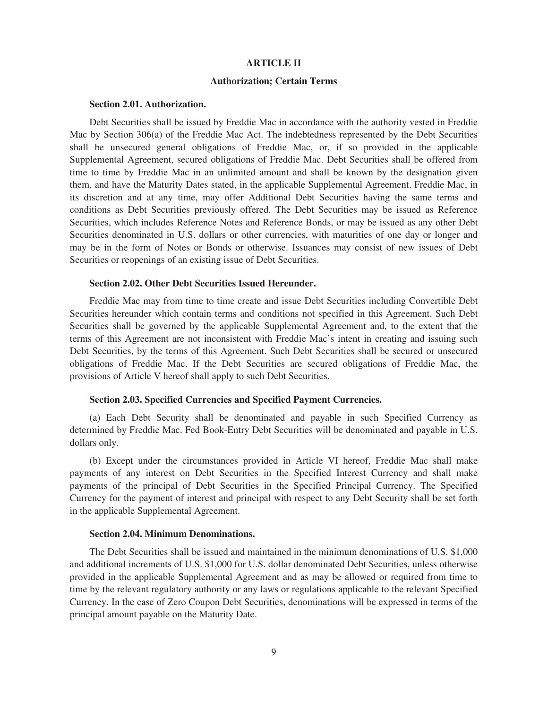# **ARTICLE II**

# **Authorization; Certain Terms**

### **Section 2.01. Authorization.**

Debt Securities shall be issued by Freddie Mac in accordance with the authority vested in Freddie Mac by Section 306(a) of the Freddie Mac Act. The indebtedness represented by the Debt Securities shall be unsecured general obligations of Freddie Mac, or, if so provided in the applicable Supplemental Agreement, secured obligations of Freddie Mac. Debt Securities shall be offered from time to time by Freddie Mac in an unlimited amount and shall be known by the designation given them, and have the Maturity Dates stated, in the applicable Supplemental Agreement. Freddie Mac, in its discretion and at any time, may offer Additional Debt Securities having the same terms and conditions as Debt Securities previously offered. The Debt Securities may be issued as Reference Securities, which includes Reference Notes and Reference Bonds, or may be issued as any other Debt Securities denominated in U.S. dollars or other currencies, with maturities of one day or longer and may be in the form of Notes or Bonds or otherwise. Issuances may consist of new issues of Debt Securities or reopenings of an existing issue of Debt Securities.

#### **Section 2.02. Other Debt Securities Issued Hereunder.**

Freddie Mac may from time to time create and issue Debt Securities including Convertible Debt Securities hereunder which contain terms and conditions not specified in this Agreement. Such Debt Securities shall be governed by the applicable Supplemental Agreement and, to the extent that the terms of this Agreement are not inconsistent with Freddie Mac's intent in creating and issuing such Debt Securities, by the terms of this Agreement. Such Debt Securities shall be secured or unsecured obligations of Freddie Mac. If the Debt Securities are secured obligations of Freddie Mac, the provisions of Article V hereof shall apply to such Debt Securities.

# **Section 2.03. Specified Currencies and Specified Payment Currencies.**

(a) Each Debt Security shall be denominated and payable in such Specified Currency as determined by Freddie Mac. Fed Book-Entry Debt Securities will be denominated and payable in U.S. dollars only.

(b) Except under the circumstances provided in Article VI hereof, Freddie Mac shall make payments of any interest on Debt Securities in the Specified Interest Currency and shall make payments of the principal of Debt Securities in the Specified Principal Currency. The Specified Currency for the payment of interest and principal with respect to any Debt Security shall be set forth in the applicable Supplemental Agreement.

#### **Section 2.04. Minimum Denominations.**

The Debt Securities shall be issued and maintained in the minimum denominations of U.S. \$1,000 and additional increments of U.S. \$1,000 for U.S. dollar denominated Debt Securities, unless otherwise provided in the applicable Supplemental Agreement and as may be allowed or required from time to time by the relevant regulatory authority or any laws or regulations applicable to the relevant Specified Currency. In the case of Zero Coupon Debt Securities, denominations will be expressed in terms of the principal amount payable on the Maturity Date.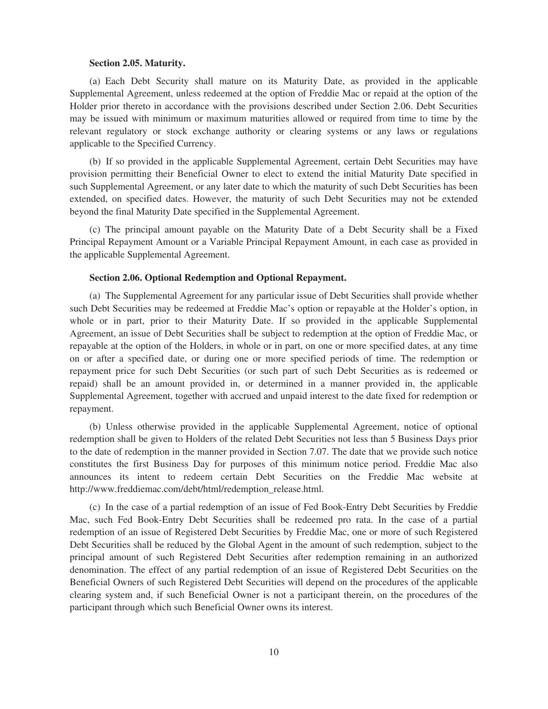# **Section 2.05. Maturity.**

(a) Each Debt Security shall mature on its Maturity Date, as provided in the applicable Supplemental Agreement, unless redeemed at the option of Freddie Mac or repaid at the option of the Holder prior thereto in accordance with the provisions described under Section 2.06. Debt Securities may be issued with minimum or maximum maturities allowed or required from time to time by the relevant regulatory or stock exchange authority or clearing systems or any laws or regulations applicable to the Specified Currency.

(b) If so provided in the applicable Supplemental Agreement, certain Debt Securities may have provision permitting their Beneficial Owner to elect to extend the initial Maturity Date specified in such Supplemental Agreement, or any later date to which the maturity of such Debt Securities has been extended, on specified dates. However, the maturity of such Debt Securities may not be extended beyond the final Maturity Date specified in the Supplemental Agreement.

(c) The principal amount payable on the Maturity Date of a Debt Security shall be a Fixed Principal Repayment Amount or a Variable Principal Repayment Amount, in each case as provided in the applicable Supplemental Agreement.

# **Section 2.06. Optional Redemption and Optional Repayment.**

(a) The Supplemental Agreement for any particular issue of Debt Securities shall provide whether such Debt Securities may be redeemed at Freddie Mac's option or repayable at the Holder's option, in whole or in part, prior to their Maturity Date. If so provided in the applicable Supplemental Agreement, an issue of Debt Securities shall be subject to redemption at the option of Freddie Mac, or repayable at the option of the Holders, in whole or in part, on one or more specified dates, at any time on or after a specified date, or during one or more specified periods of time. The redemption or repayment price for such Debt Securities (or such part of such Debt Securities as is redeemed or repaid) shall be an amount provided in, or determined in a manner provided in, the applicable Supplemental Agreement, together with accrued and unpaid interest to the date fixed for redemption or repayment.

(b) Unless otherwise provided in the applicable Supplemental Agreement, notice of optional redemption shall be given to Holders of the related Debt Securities not less than 5 Business Days prior to the date of redemption in the manner provided in Section 7.07. The date that we provide such notice constitutes the first Business Day for purposes of this minimum notice period. Freddie Mac also announces its intent to redeem certain Debt Securities on the Freddie Mac website at http://www.freddiemac.com/debt/html/redemption\_release.html.

(c) In the case of a partial redemption of an issue of Fed Book-Entry Debt Securities by Freddie Mac, such Fed Book-Entry Debt Securities shall be redeemed pro rata. In the case of a partial redemption of an issue of Registered Debt Securities by Freddie Mac, one or more of such Registered Debt Securities shall be reduced by the Global Agent in the amount of such redemption, subject to the principal amount of such Registered Debt Securities after redemption remaining in an authorized denomination. The effect of any partial redemption of an issue of Registered Debt Securities on the Beneficial Owners of such Registered Debt Securities will depend on the procedures of the applicable clearing system and, if such Beneficial Owner is not a participant therein, on the procedures of the participant through which such Beneficial Owner owns its interest.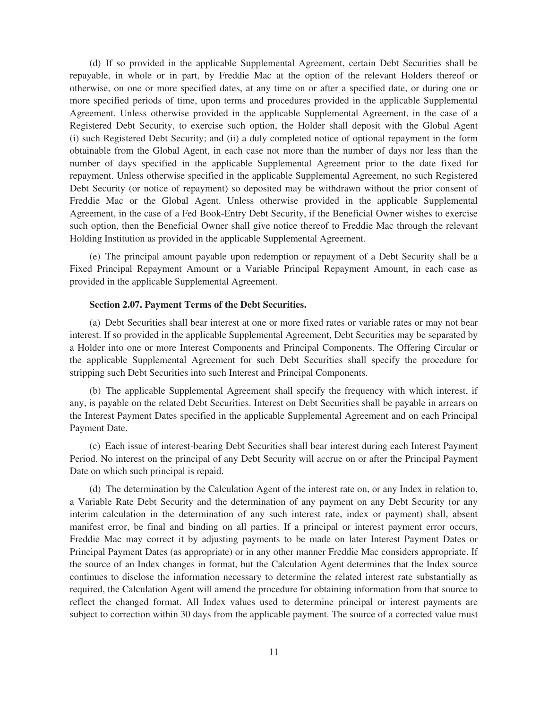(d) If so provided in the applicable Supplemental Agreement, certain Debt Securities shall be repayable, in whole or in part, by Freddie Mac at the option of the relevant Holders thereof or otherwise, on one or more specified dates, at any time on or after a specified date, or during one or more specified periods of time, upon terms and procedures provided in the applicable Supplemental Agreement. Unless otherwise provided in the applicable Supplemental Agreement, in the case of a Registered Debt Security, to exercise such option, the Holder shall deposit with the Global Agent (i) such Registered Debt Security; and (ii) a duly completed notice of optional repayment in the form obtainable from the Global Agent, in each case not more than the number of days nor less than the number of days specified in the applicable Supplemental Agreement prior to the date fixed for repayment. Unless otherwise specified in the applicable Supplemental Agreement, no such Registered Debt Security (or notice of repayment) so deposited may be withdrawn without the prior consent of Freddie Mac or the Global Agent. Unless otherwise provided in the applicable Supplemental Agreement, in the case of a Fed Book-Entry Debt Security, if the Beneficial Owner wishes to exercise such option, then the Beneficial Owner shall give notice thereof to Freddie Mac through the relevant Holding Institution as provided in the applicable Supplemental Agreement.

(e) The principal amount payable upon redemption or repayment of a Debt Security shall be a Fixed Principal Repayment Amount or a Variable Principal Repayment Amount, in each case as provided in the applicable Supplemental Agreement.

# **Section 2.07. Payment Terms of the Debt Securities.**

(a) Debt Securities shall bear interest at one or more fixed rates or variable rates or may not bear interest. If so provided in the applicable Supplemental Agreement, Debt Securities may be separated by a Holder into one or more Interest Components and Principal Components. The Offering Circular or the applicable Supplemental Agreement for such Debt Securities shall specify the procedure for stripping such Debt Securities into such Interest and Principal Components.

(b) The applicable Supplemental Agreement shall specify the frequency with which interest, if any, is payable on the related Debt Securities. Interest on Debt Securities shall be payable in arrears on the Interest Payment Dates specified in the applicable Supplemental Agreement and on each Principal Payment Date.

(c) Each issue of interest-bearing Debt Securities shall bear interest during each Interest Payment Period. No interest on the principal of any Debt Security will accrue on or after the Principal Payment Date on which such principal is repaid.

(d) The determination by the Calculation Agent of the interest rate on, or any Index in relation to, a Variable Rate Debt Security and the determination of any payment on any Debt Security (or any interim calculation in the determination of any such interest rate, index or payment) shall, absent manifest error, be final and binding on all parties. If a principal or interest payment error occurs, Freddie Mac may correct it by adjusting payments to be made on later Interest Payment Dates or Principal Payment Dates (as appropriate) or in any other manner Freddie Mac considers appropriate. If the source of an Index changes in format, but the Calculation Agent determines that the Index source continues to disclose the information necessary to determine the related interest rate substantially as required, the Calculation Agent will amend the procedure for obtaining information from that source to reflect the changed format. All Index values used to determine principal or interest payments are subject to correction within 30 days from the applicable payment. The source of a corrected value must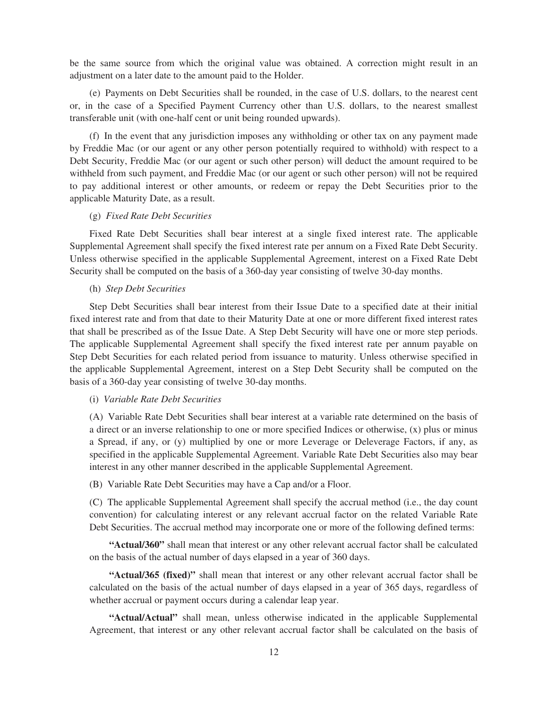be the same source from which the original value was obtained. A correction might result in an adjustment on a later date to the amount paid to the Holder.

(e) Payments on Debt Securities shall be rounded, in the case of U.S. dollars, to the nearest cent or, in the case of a Specified Payment Currency other than U.S. dollars, to the nearest smallest transferable unit (with one-half cent or unit being rounded upwards).

(f) In the event that any jurisdiction imposes any withholding or other tax on any payment made by Freddie Mac (or our agent or any other person potentially required to withhold) with respect to a Debt Security, Freddie Mac (or our agent or such other person) will deduct the amount required to be withheld from such payment, and Freddie Mac (or our agent or such other person) will not be required to pay additional interest or other amounts, or redeem or repay the Debt Securities prior to the applicable Maturity Date, as a result.

# (g) *Fixed Rate Debt Securities*

Fixed Rate Debt Securities shall bear interest at a single fixed interest rate. The applicable Supplemental Agreement shall specify the fixed interest rate per annum on a Fixed Rate Debt Security. Unless otherwise specified in the applicable Supplemental Agreement, interest on a Fixed Rate Debt Security shall be computed on the basis of a 360-day year consisting of twelve 30-day months.

#### (h) *Step Debt Securities*

Step Debt Securities shall bear interest from their Issue Date to a specified date at their initial fixed interest rate and from that date to their Maturity Date at one or more different fixed interest rates that shall be prescribed as of the Issue Date. A Step Debt Security will have one or more step periods. The applicable Supplemental Agreement shall specify the fixed interest rate per annum payable on Step Debt Securities for each related period from issuance to maturity. Unless otherwise specified in the applicable Supplemental Agreement, interest on a Step Debt Security shall be computed on the basis of a 360-day year consisting of twelve 30-day months.

# (i) *Variable Rate Debt Securities*

(A) Variable Rate Debt Securities shall bear interest at a variable rate determined on the basis of a direct or an inverse relationship to one or more specified Indices or otherwise, (x) plus or minus a Spread, if any, or (y) multiplied by one or more Leverage or Deleverage Factors, if any, as specified in the applicable Supplemental Agreement. Variable Rate Debt Securities also may bear interest in any other manner described in the applicable Supplemental Agreement.

(B) Variable Rate Debt Securities may have a Cap and/or a Floor.

(C) The applicable Supplemental Agreement shall specify the accrual method (i.e., the day count convention) for calculating interest or any relevant accrual factor on the related Variable Rate Debt Securities. The accrual method may incorporate one or more of the following defined terms:

**"Actual/360"** shall mean that interest or any other relevant accrual factor shall be calculated on the basis of the actual number of days elapsed in a year of 360 days.

**"Actual/365 (fixed)"** shall mean that interest or any other relevant accrual factor shall be calculated on the basis of the actual number of days elapsed in a year of 365 days, regardless of whether accrual or payment occurs during a calendar leap year.

**"Actual/Actual"** shall mean, unless otherwise indicated in the applicable Supplemental Agreement, that interest or any other relevant accrual factor shall be calculated on the basis of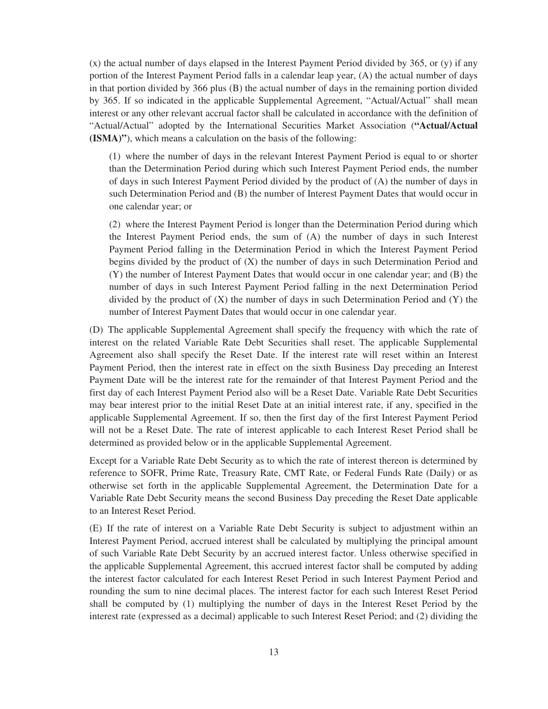(x) the actual number of days elapsed in the Interest Payment Period divided by 365, or (y) if any portion of the Interest Payment Period falls in a calendar leap year, (A) the actual number of days in that portion divided by 366 plus (B) the actual number of days in the remaining portion divided by 365. If so indicated in the applicable Supplemental Agreement, "Actual/Actual" shall mean interest or any other relevant accrual factor shall be calculated in accordance with the definition of "Actual/Actual" adopted by the International Securities Market Association (**"Actual/Actual (ISMA)"**), which means a calculation on the basis of the following:

(1) where the number of days in the relevant Interest Payment Period is equal to or shorter than the Determination Period during which such Interest Payment Period ends, the number of days in such Interest Payment Period divided by the product of (A) the number of days in such Determination Period and (B) the number of Interest Payment Dates that would occur in one calendar year; or

(2) where the Interest Payment Period is longer than the Determination Period during which the Interest Payment Period ends, the sum of (A) the number of days in such Interest Payment Period falling in the Determination Period in which the Interest Payment Period begins divided by the product of  $(X)$  the number of days in such Determination Period and (Y) the number of Interest Payment Dates that would occur in one calendar year; and (B) the number of days in such Interest Payment Period falling in the next Determination Period divided by the product of  $(X)$  the number of days in such Determination Period and  $(Y)$  the number of Interest Payment Dates that would occur in one calendar year.

(D) The applicable Supplemental Agreement shall specify the frequency with which the rate of interest on the related Variable Rate Debt Securities shall reset. The applicable Supplemental Agreement also shall specify the Reset Date. If the interest rate will reset within an Interest Payment Period, then the interest rate in effect on the sixth Business Day preceding an Interest Payment Date will be the interest rate for the remainder of that Interest Payment Period and the first day of each Interest Payment Period also will be a Reset Date. Variable Rate Debt Securities may bear interest prior to the initial Reset Date at an initial interest rate, if any, specified in the applicable Supplemental Agreement. If so, then the first day of the first Interest Payment Period will not be a Reset Date. The rate of interest applicable to each Interest Reset Period shall be determined as provided below or in the applicable Supplemental Agreement.

Except for a Variable Rate Debt Security as to which the rate of interest thereon is determined by reference to SOFR, Prime Rate, Treasury Rate, CMT Rate, or Federal Funds Rate (Daily) or as otherwise set forth in the applicable Supplemental Agreement, the Determination Date for a Variable Rate Debt Security means the second Business Day preceding the Reset Date applicable to an Interest Reset Period.

(E) If the rate of interest on a Variable Rate Debt Security is subject to adjustment within an Interest Payment Period, accrued interest shall be calculated by multiplying the principal amount of such Variable Rate Debt Security by an accrued interest factor. Unless otherwise specified in the applicable Supplemental Agreement, this accrued interest factor shall be computed by adding the interest factor calculated for each Interest Reset Period in such Interest Payment Period and rounding the sum to nine decimal places. The interest factor for each such Interest Reset Period shall be computed by (1) multiplying the number of days in the Interest Reset Period by the interest rate (expressed as a decimal) applicable to such Interest Reset Period; and (2) dividing the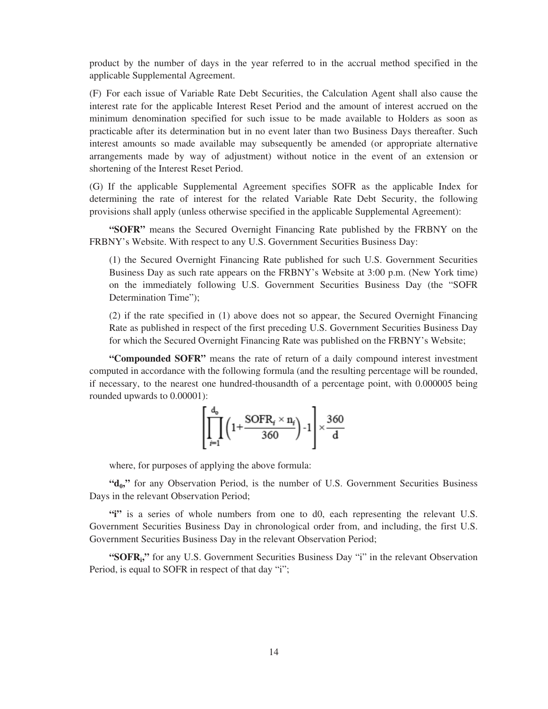product by the number of days in the year referred to in the accrual method specified in the applicable Supplemental Agreement.

(F) For each issue of Variable Rate Debt Securities, the Calculation Agent shall also cause the interest rate for the applicable Interest Reset Period and the amount of interest accrued on the minimum denomination specified for such issue to be made available to Holders as soon as practicable after its determination but in no event later than two Business Days thereafter. Such interest amounts so made available may subsequently be amended (or appropriate alternative arrangements made by way of adjustment) without notice in the event of an extension or shortening of the Interest Reset Period.

(G) If the applicable Supplemental Agreement specifies SOFR as the applicable Index for determining the rate of interest for the related Variable Rate Debt Security, the following provisions shall apply (unless otherwise specified in the applicable Supplemental Agreement):

**"SOFR"** means the Secured Overnight Financing Rate published by the FRBNY on the FRBNY's Website. With respect to any U.S. Government Securities Business Day:

(1) the Secured Overnight Financing Rate published for such U.S. Government Securities Business Day as such rate appears on the FRBNY's Website at 3:00 p.m. (New York time) on the immediately following U.S. Government Securities Business Day (the "SOFR Determination Time");

(2) if the rate specified in (1) above does not so appear, the Secured Overnight Financing Rate as published in respect of the first preceding U.S. Government Securities Business Day for which the Secured Overnight Financing Rate was published on the FRBNY's Website;

**"Compounded SOFR"** means the rate of return of a daily compound interest investment computed in accordance with the following formula (and the resulting percentage will be rounded, if necessary, to the nearest one hundred-thousandth of a percentage point, with 0.000005 being rounded upwards to 0.00001):

$$
\left[\prod_{i=1}^{d_0} \left(1 + \frac{\text{SOFR}_i \times n_i}{360}\right) - 1\right] \times \frac{360}{d}
$$

where, for purposes of applying the above formula:

"d<sub>0</sub>," for any Observation Period, is the number of U.S. Government Securities Business Days in the relevant Observation Period;

**"i"** is a series of whole numbers from one to d0, each representing the relevant U.S. Government Securities Business Day in chronological order from, and including, the first U.S. Government Securities Business Day in the relevant Observation Period;

"SOFR<sub>i</sub>," for any U.S. Government Securities Business Day "i" in the relevant Observation Period, is equal to SOFR in respect of that day "i";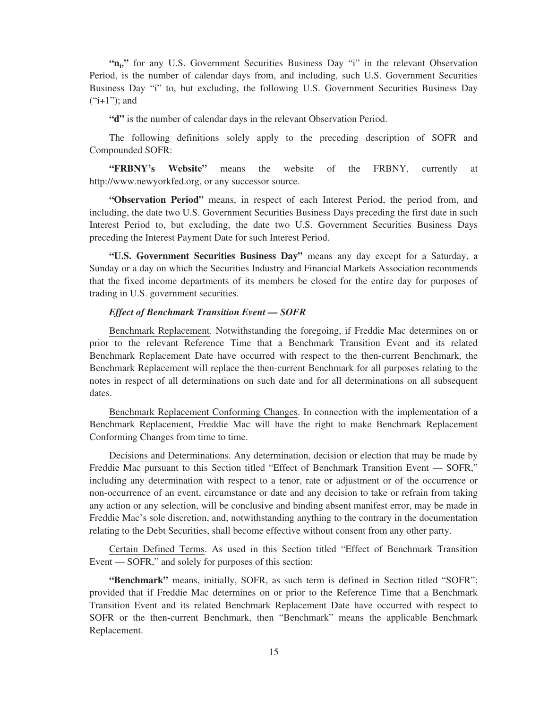"n<sub>i</sub>" for any U.S. Government Securities Business Day "i" in the relevant Observation Period, is the number of calendar days from, and including, such U.S. Government Securities Business Day "i" to, but excluding, the following U.S. Government Securities Business Day  $("i+1")$ ; and

**"d"** is the number of calendar days in the relevant Observation Period.

The following definitions solely apply to the preceding description of SOFR and Compounded SOFR:

**"FRBNY's Website"** means the website of the FRBNY, currently at http://www.newyorkfed.org, or any successor source.

**"Observation Period"** means, in respect of each Interest Period, the period from, and including, the date two U.S. Government Securities Business Days preceding the first date in such Interest Period to, but excluding, the date two U.S. Government Securities Business Days preceding the Interest Payment Date for such Interest Period.

**"U.S. Government Securities Business Day"** means any day except for a Saturday, a Sunday or a day on which the Securities Industry and Financial Markets Association recommends that the fixed income departments of its members be closed for the entire day for purposes of trading in U.S. government securities.

# *Effect of Benchmark Transition Event — SOFR*

Benchmark Replacement. Notwithstanding the foregoing, if Freddie Mac determines on or prior to the relevant Reference Time that a Benchmark Transition Event and its related Benchmark Replacement Date have occurred with respect to the then-current Benchmark, the Benchmark Replacement will replace the then-current Benchmark for all purposes relating to the notes in respect of all determinations on such date and for all determinations on all subsequent dates.

Benchmark Replacement Conforming Changes. In connection with the implementation of a Benchmark Replacement, Freddie Mac will have the right to make Benchmark Replacement Conforming Changes from time to time.

Decisions and Determinations. Any determination, decision or election that may be made by Freddie Mac pursuant to this Section titled "Effect of Benchmark Transition Event — SOFR," including any determination with respect to a tenor, rate or adjustment or of the occurrence or non-occurrence of an event, circumstance or date and any decision to take or refrain from taking any action or any selection, will be conclusive and binding absent manifest error, may be made in Freddie Mac's sole discretion, and, notwithstanding anything to the contrary in the documentation relating to the Debt Securities, shall become effective without consent from any other party.

Certain Defined Terms. As used in this Section titled "Effect of Benchmark Transition Event — SOFR," and solely for purposes of this section:

**"Benchmark"** means, initially, SOFR, as such term is defined in Section titled "SOFR"; provided that if Freddie Mac determines on or prior to the Reference Time that a Benchmark Transition Event and its related Benchmark Replacement Date have occurred with respect to SOFR or the then-current Benchmark, then "Benchmark" means the applicable Benchmark Replacement.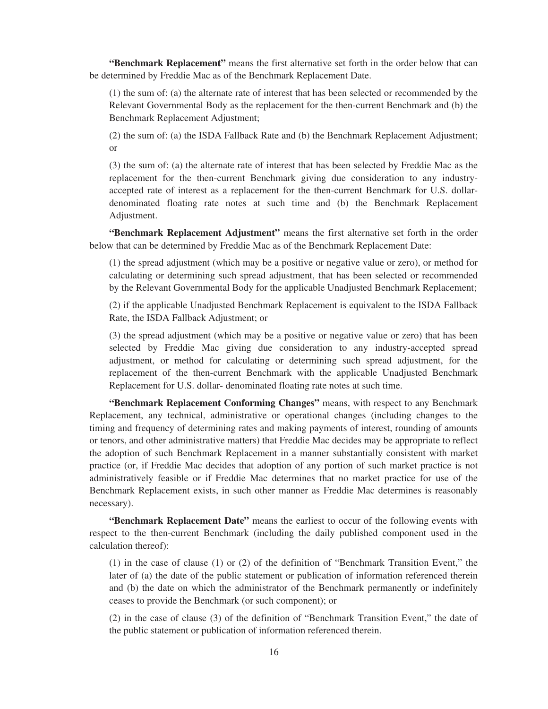**"Benchmark Replacement"** means the first alternative set forth in the order below that can be determined by Freddie Mac as of the Benchmark Replacement Date.

(1) the sum of: (a) the alternate rate of interest that has been selected or recommended by the Relevant Governmental Body as the replacement for the then-current Benchmark and (b) the Benchmark Replacement Adjustment;

(2) the sum of: (a) the ISDA Fallback Rate and (b) the Benchmark Replacement Adjustment; or

(3) the sum of: (a) the alternate rate of interest that has been selected by Freddie Mac as the replacement for the then-current Benchmark giving due consideration to any industryaccepted rate of interest as a replacement for the then-current Benchmark for U.S. dollardenominated floating rate notes at such time and (b) the Benchmark Replacement Adjustment.

**"Benchmark Replacement Adjustment"** means the first alternative set forth in the order below that can be determined by Freddie Mac as of the Benchmark Replacement Date:

(1) the spread adjustment (which may be a positive or negative value or zero), or method for calculating or determining such spread adjustment, that has been selected or recommended by the Relevant Governmental Body for the applicable Unadjusted Benchmark Replacement;

(2) if the applicable Unadjusted Benchmark Replacement is equivalent to the ISDA Fallback Rate, the ISDA Fallback Adjustment; or

(3) the spread adjustment (which may be a positive or negative value or zero) that has been selected by Freddie Mac giving due consideration to any industry-accepted spread adjustment, or method for calculating or determining such spread adjustment, for the replacement of the then-current Benchmark with the applicable Unadjusted Benchmark Replacement for U.S. dollar- denominated floating rate notes at such time.

**"Benchmark Replacement Conforming Changes"** means, with respect to any Benchmark Replacement, any technical, administrative or operational changes (including changes to the timing and frequency of determining rates and making payments of interest, rounding of amounts or tenors, and other administrative matters) that Freddie Mac decides may be appropriate to reflect the adoption of such Benchmark Replacement in a manner substantially consistent with market practice (or, if Freddie Mac decides that adoption of any portion of such market practice is not administratively feasible or if Freddie Mac determines that no market practice for use of the Benchmark Replacement exists, in such other manner as Freddie Mac determines is reasonably necessary).

**"Benchmark Replacement Date"** means the earliest to occur of the following events with respect to the then-current Benchmark (including the daily published component used in the calculation thereof):

(1) in the case of clause (1) or (2) of the definition of "Benchmark Transition Event," the later of (a) the date of the public statement or publication of information referenced therein and (b) the date on which the administrator of the Benchmark permanently or indefinitely ceases to provide the Benchmark (or such component); or

(2) in the case of clause (3) of the definition of "Benchmark Transition Event," the date of the public statement or publication of information referenced therein.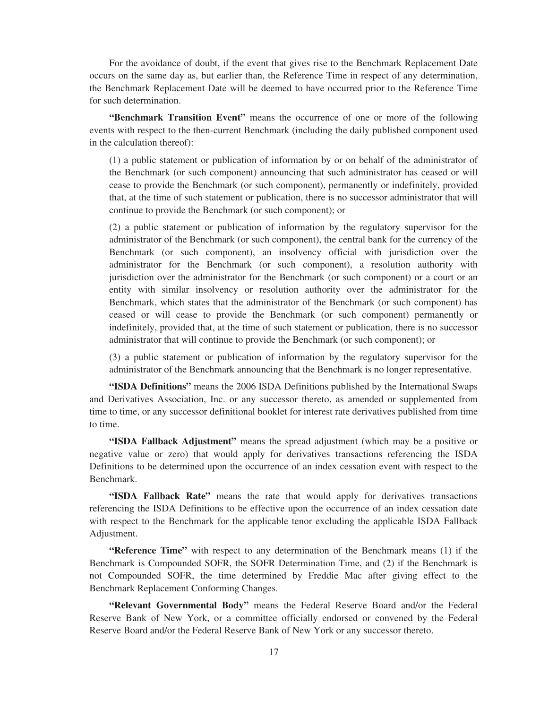For the avoidance of doubt, if the event that gives rise to the Benchmark Replacement Date occurs on the same day as, but earlier than, the Reference Time in respect of any determination, the Benchmark Replacement Date will be deemed to have occurred prior to the Reference Time for such determination.

**"Benchmark Transition Event"** means the occurrence of one or more of the following events with respect to the then-current Benchmark (including the daily published component used in the calculation thereof):

(1) a public statement or publication of information by or on behalf of the administrator of the Benchmark (or such component) announcing that such administrator has ceased or will cease to provide the Benchmark (or such component), permanently or indefinitely, provided that, at the time of such statement or publication, there is no successor administrator that will continue to provide the Benchmark (or such component); or

(2) a public statement or publication of information by the regulatory supervisor for the administrator of the Benchmark (or such component), the central bank for the currency of the Benchmark (or such component), an insolvency official with jurisdiction over the administrator for the Benchmark (or such component), a resolution authority with jurisdiction over the administrator for the Benchmark (or such component) or a court or an entity with similar insolvency or resolution authority over the administrator for the Benchmark, which states that the administrator of the Benchmark (or such component) has ceased or will cease to provide the Benchmark (or such component) permanently or indefinitely, provided that, at the time of such statement or publication, there is no successor administrator that will continue to provide the Benchmark (or such component); or

(3) a public statement or publication of information by the regulatory supervisor for the administrator of the Benchmark announcing that the Benchmark is no longer representative.

**"ISDA Definitions"** means the 2006 ISDA Definitions published by the International Swaps and Derivatives Association, Inc. or any successor thereto, as amended or supplemented from time to time, or any successor definitional booklet for interest rate derivatives published from time to time.

**"ISDA Fallback Adjustment"** means the spread adjustment (which may be a positive or negative value or zero) that would apply for derivatives transactions referencing the ISDA Definitions to be determined upon the occurrence of an index cessation event with respect to the Benchmark.

**"ISDA Fallback Rate"** means the rate that would apply for derivatives transactions referencing the ISDA Definitions to be effective upon the occurrence of an index cessation date with respect to the Benchmark for the applicable tenor excluding the applicable ISDA Fallback Adjustment.

**"Reference Time"** with respect to any determination of the Benchmark means (1) if the Benchmark is Compounded SOFR, the SOFR Determination Time, and (2) if the Benchmark is not Compounded SOFR, the time determined by Freddie Mac after giving effect to the Benchmark Replacement Conforming Changes.

**"Relevant Governmental Body"** means the Federal Reserve Board and/or the Federal Reserve Bank of New York, or a committee officially endorsed or convened by the Federal Reserve Board and/or the Federal Reserve Bank of New York or any successor thereto.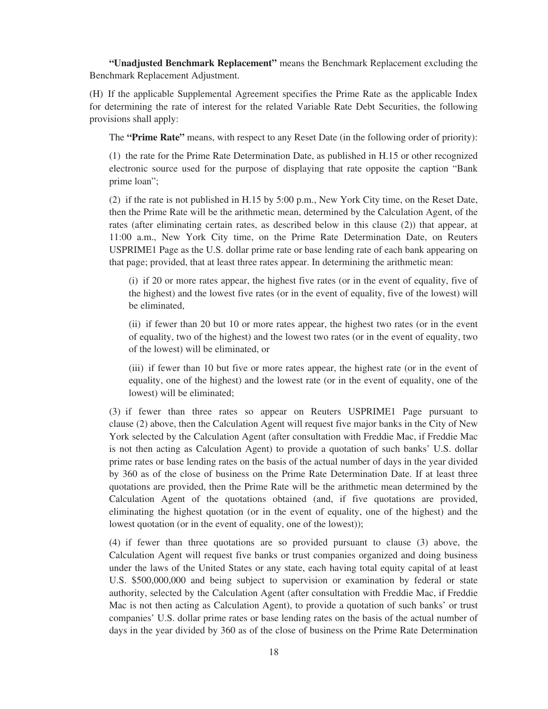**"Unadjusted Benchmark Replacement"** means the Benchmark Replacement excluding the Benchmark Replacement Adjustment.

(H) If the applicable Supplemental Agreement specifies the Prime Rate as the applicable Index for determining the rate of interest for the related Variable Rate Debt Securities, the following provisions shall apply:

The **"Prime Rate"** means, with respect to any Reset Date (in the following order of priority):

(1) the rate for the Prime Rate Determination Date, as published in H.15 or other recognized electronic source used for the purpose of displaying that rate opposite the caption "Bank prime loan";

(2) if the rate is not published in H.15 by 5:00 p.m., New York City time, on the Reset Date, then the Prime Rate will be the arithmetic mean, determined by the Calculation Agent, of the rates (after eliminating certain rates, as described below in this clause (2)) that appear, at 11:00 a.m., New York City time, on the Prime Rate Determination Date, on Reuters USPRIME1 Page as the U.S. dollar prime rate or base lending rate of each bank appearing on that page; provided, that at least three rates appear. In determining the arithmetic mean:

(i) if 20 or more rates appear, the highest five rates (or in the event of equality, five of the highest) and the lowest five rates (or in the event of equality, five of the lowest) will be eliminated,

(ii) if fewer than 20 but 10 or more rates appear, the highest two rates (or in the event of equality, two of the highest) and the lowest two rates (or in the event of equality, two of the lowest) will be eliminated, or

(iii) if fewer than 10 but five or more rates appear, the highest rate (or in the event of equality, one of the highest) and the lowest rate (or in the event of equality, one of the lowest) will be eliminated;

(3) if fewer than three rates so appear on Reuters USPRIME1 Page pursuant to clause (2) above, then the Calculation Agent will request five major banks in the City of New York selected by the Calculation Agent (after consultation with Freddie Mac, if Freddie Mac is not then acting as Calculation Agent) to provide a quotation of such banks' U.S. dollar prime rates or base lending rates on the basis of the actual number of days in the year divided by 360 as of the close of business on the Prime Rate Determination Date. If at least three quotations are provided, then the Prime Rate will be the arithmetic mean determined by the Calculation Agent of the quotations obtained (and, if five quotations are provided, eliminating the highest quotation (or in the event of equality, one of the highest) and the lowest quotation (or in the event of equality, one of the lowest));

(4) if fewer than three quotations are so provided pursuant to clause (3) above, the Calculation Agent will request five banks or trust companies organized and doing business under the laws of the United States or any state, each having total equity capital of at least U.S. \$500,000,000 and being subject to supervision or examination by federal or state authority, selected by the Calculation Agent (after consultation with Freddie Mac, if Freddie Mac is not then acting as Calculation Agent), to provide a quotation of such banks' or trust companies' U.S. dollar prime rates or base lending rates on the basis of the actual number of days in the year divided by 360 as of the close of business on the Prime Rate Determination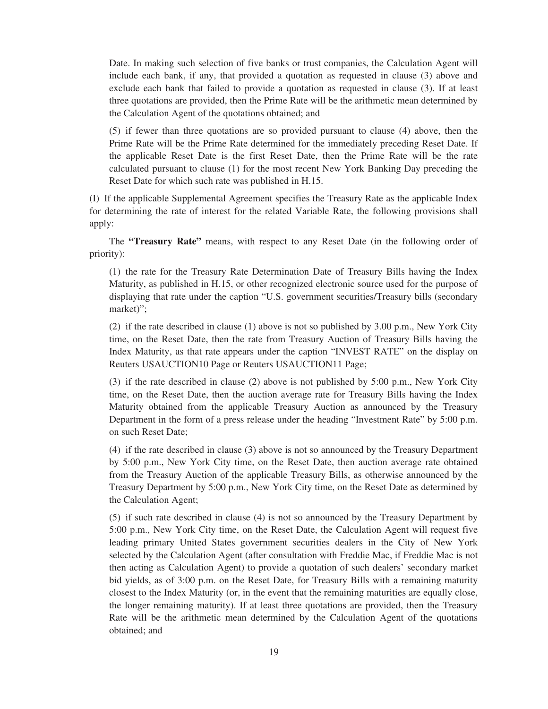Date. In making such selection of five banks or trust companies, the Calculation Agent will include each bank, if any, that provided a quotation as requested in clause (3) above and exclude each bank that failed to provide a quotation as requested in clause (3). If at least three quotations are provided, then the Prime Rate will be the arithmetic mean determined by the Calculation Agent of the quotations obtained; and

(5) if fewer than three quotations are so provided pursuant to clause (4) above, then the Prime Rate will be the Prime Rate determined for the immediately preceding Reset Date. If the applicable Reset Date is the first Reset Date, then the Prime Rate will be the rate calculated pursuant to clause (1) for the most recent New York Banking Day preceding the Reset Date for which such rate was published in H.15.

(I) If the applicable Supplemental Agreement specifies the Treasury Rate as the applicable Index for determining the rate of interest for the related Variable Rate, the following provisions shall apply:

The **"Treasury Rate"** means, with respect to any Reset Date (in the following order of priority):

(1) the rate for the Treasury Rate Determination Date of Treasury Bills having the Index Maturity, as published in H.15, or other recognized electronic source used for the purpose of displaying that rate under the caption "U.S. government securities/Treasury bills (secondary market)";

(2) if the rate described in clause (1) above is not so published by 3.00 p.m., New York City time, on the Reset Date, then the rate from Treasury Auction of Treasury Bills having the Index Maturity, as that rate appears under the caption "INVEST RATE" on the display on Reuters USAUCTION10 Page or Reuters USAUCTION11 Page;

(3) if the rate described in clause (2) above is not published by 5:00 p.m., New York City time, on the Reset Date, then the auction average rate for Treasury Bills having the Index Maturity obtained from the applicable Treasury Auction as announced by the Treasury Department in the form of a press release under the heading "Investment Rate" by 5:00 p.m. on such Reset Date;

(4) if the rate described in clause (3) above is not so announced by the Treasury Department by 5:00 p.m., New York City time, on the Reset Date, then auction average rate obtained from the Treasury Auction of the applicable Treasury Bills, as otherwise announced by the Treasury Department by 5:00 p.m., New York City time, on the Reset Date as determined by the Calculation Agent;

(5) if such rate described in clause (4) is not so announced by the Treasury Department by 5:00 p.m., New York City time, on the Reset Date, the Calculation Agent will request five leading primary United States government securities dealers in the City of New York selected by the Calculation Agent (after consultation with Freddie Mac, if Freddie Mac is not then acting as Calculation Agent) to provide a quotation of such dealers' secondary market bid yields, as of 3:00 p.m. on the Reset Date, for Treasury Bills with a remaining maturity closest to the Index Maturity (or, in the event that the remaining maturities are equally close, the longer remaining maturity). If at least three quotations are provided, then the Treasury Rate will be the arithmetic mean determined by the Calculation Agent of the quotations obtained; and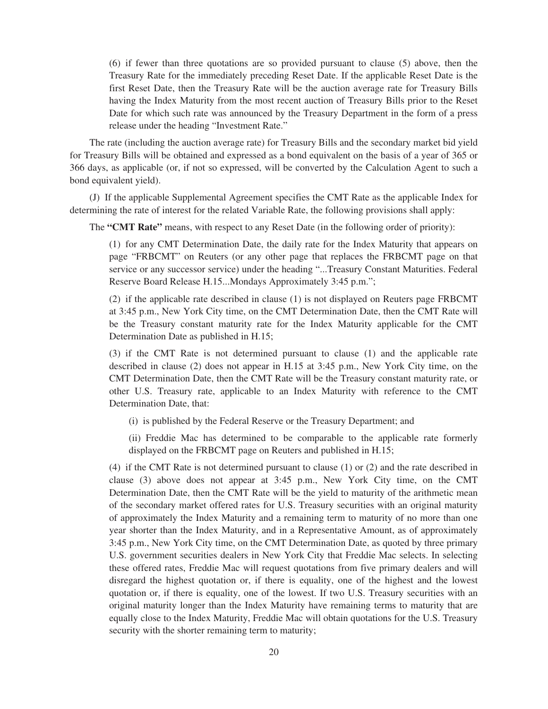(6) if fewer than three quotations are so provided pursuant to clause (5) above, then the Treasury Rate for the immediately preceding Reset Date. If the applicable Reset Date is the first Reset Date, then the Treasury Rate will be the auction average rate for Treasury Bills having the Index Maturity from the most recent auction of Treasury Bills prior to the Reset Date for which such rate was announced by the Treasury Department in the form of a press release under the heading "Investment Rate."

The rate (including the auction average rate) for Treasury Bills and the secondary market bid yield for Treasury Bills will be obtained and expressed as a bond equivalent on the basis of a year of 365 or 366 days, as applicable (or, if not so expressed, will be converted by the Calculation Agent to such a bond equivalent yield).

(J) If the applicable Supplemental Agreement specifies the CMT Rate as the applicable Index for determining the rate of interest for the related Variable Rate, the following provisions shall apply:

The **"CMT Rate"** means, with respect to any Reset Date (in the following order of priority):

(1) for any CMT Determination Date, the daily rate for the Index Maturity that appears on page "FRBCMT" on Reuters (or any other page that replaces the FRBCMT page on that service or any successor service) under the heading "...Treasury Constant Maturities. Federal Reserve Board Release H.15...Mondays Approximately 3:45 p.m.";

(2) if the applicable rate described in clause (1) is not displayed on Reuters page FRBCMT at 3:45 p.m., New York City time, on the CMT Determination Date, then the CMT Rate will be the Treasury constant maturity rate for the Index Maturity applicable for the CMT Determination Date as published in H.15;

(3) if the CMT Rate is not determined pursuant to clause (1) and the applicable rate described in clause (2) does not appear in H.15 at 3:45 p.m., New York City time, on the CMT Determination Date, then the CMT Rate will be the Treasury constant maturity rate, or other U.S. Treasury rate, applicable to an Index Maturity with reference to the CMT Determination Date, that:

(i) is published by the Federal Reserve or the Treasury Department; and

(ii) Freddie Mac has determined to be comparable to the applicable rate formerly displayed on the FRBCMT page on Reuters and published in H.15;

(4) if the CMT Rate is not determined pursuant to clause (1) or (2) and the rate described in clause (3) above does not appear at 3:45 p.m., New York City time, on the CMT Determination Date, then the CMT Rate will be the yield to maturity of the arithmetic mean of the secondary market offered rates for U.S. Treasury securities with an original maturity of approximately the Index Maturity and a remaining term to maturity of no more than one year shorter than the Index Maturity, and in a Representative Amount, as of approximately 3:45 p.m., New York City time, on the CMT Determination Date, as quoted by three primary U.S. government securities dealers in New York City that Freddie Mac selects. In selecting these offered rates, Freddie Mac will request quotations from five primary dealers and will disregard the highest quotation or, if there is equality, one of the highest and the lowest quotation or, if there is equality, one of the lowest. If two U.S. Treasury securities with an original maturity longer than the Index Maturity have remaining terms to maturity that are equally close to the Index Maturity, Freddie Mac will obtain quotations for the U.S. Treasury security with the shorter remaining term to maturity;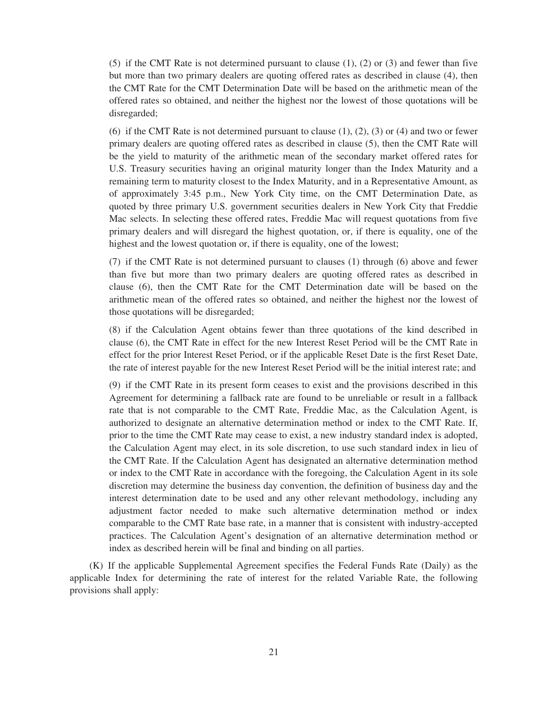(5) if the CMT Rate is not determined pursuant to clause (1), (2) or (3) and fewer than five but more than two primary dealers are quoting offered rates as described in clause (4), then the CMT Rate for the CMT Determination Date will be based on the arithmetic mean of the offered rates so obtained, and neither the highest nor the lowest of those quotations will be disregarded;

(6) if the CMT Rate is not determined pursuant to clause  $(1)$ ,  $(2)$ ,  $(3)$  or  $(4)$  and two or fewer primary dealers are quoting offered rates as described in clause (5), then the CMT Rate will be the yield to maturity of the arithmetic mean of the secondary market offered rates for U.S. Treasury securities having an original maturity longer than the Index Maturity and a remaining term to maturity closest to the Index Maturity, and in a Representative Amount, as of approximately 3:45 p.m., New York City time, on the CMT Determination Date, as quoted by three primary U.S. government securities dealers in New York City that Freddie Mac selects. In selecting these offered rates, Freddie Mac will request quotations from five primary dealers and will disregard the highest quotation, or, if there is equality, one of the highest and the lowest quotation or, if there is equality, one of the lowest;

(7) if the CMT Rate is not determined pursuant to clauses (1) through (6) above and fewer than five but more than two primary dealers are quoting offered rates as described in clause (6), then the CMT Rate for the CMT Determination date will be based on the arithmetic mean of the offered rates so obtained, and neither the highest nor the lowest of those quotations will be disregarded;

(8) if the Calculation Agent obtains fewer than three quotations of the kind described in clause (6), the CMT Rate in effect for the new Interest Reset Period will be the CMT Rate in effect for the prior Interest Reset Period, or if the applicable Reset Date is the first Reset Date, the rate of interest payable for the new Interest Reset Period will be the initial interest rate; and

(9) if the CMT Rate in its present form ceases to exist and the provisions described in this Agreement for determining a fallback rate are found to be unreliable or result in a fallback rate that is not comparable to the CMT Rate, Freddie Mac, as the Calculation Agent, is authorized to designate an alternative determination method or index to the CMT Rate. If, prior to the time the CMT Rate may cease to exist, a new industry standard index is adopted, the Calculation Agent may elect, in its sole discretion, to use such standard index in lieu of the CMT Rate. If the Calculation Agent has designated an alternative determination method or index to the CMT Rate in accordance with the foregoing, the Calculation Agent in its sole discretion may determine the business day convention, the definition of business day and the interest determination date to be used and any other relevant methodology, including any adjustment factor needed to make such alternative determination method or index comparable to the CMT Rate base rate, in a manner that is consistent with industry-accepted practices. The Calculation Agent's designation of an alternative determination method or index as described herein will be final and binding on all parties.

(K) If the applicable Supplemental Agreement specifies the Federal Funds Rate (Daily) as the applicable Index for determining the rate of interest for the related Variable Rate, the following provisions shall apply: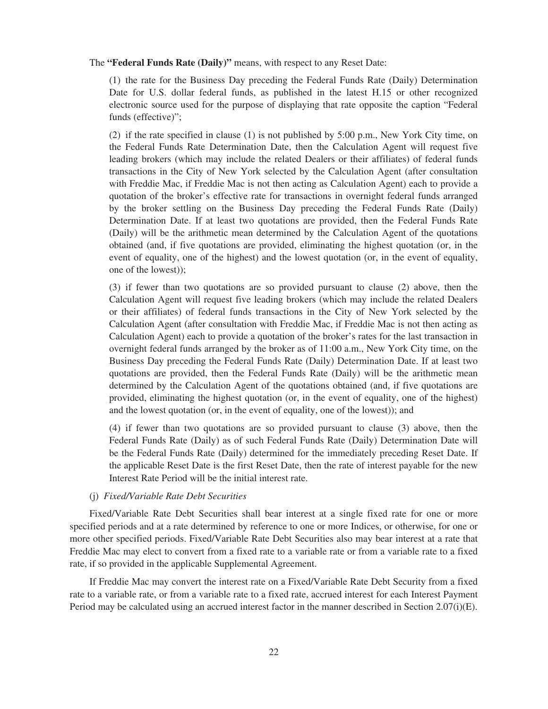#### The **"Federal Funds Rate (Daily)"** means, with respect to any Reset Date:

(1) the rate for the Business Day preceding the Federal Funds Rate (Daily) Determination Date for U.S. dollar federal funds, as published in the latest H.15 or other recognized electronic source used for the purpose of displaying that rate opposite the caption "Federal funds (effective)";

(2) if the rate specified in clause (1) is not published by 5:00 p.m., New York City time, on the Federal Funds Rate Determination Date, then the Calculation Agent will request five leading brokers (which may include the related Dealers or their affiliates) of federal funds transactions in the City of New York selected by the Calculation Agent (after consultation with Freddie Mac, if Freddie Mac is not then acting as Calculation Agent) each to provide a quotation of the broker's effective rate for transactions in overnight federal funds arranged by the broker settling on the Business Day preceding the Federal Funds Rate (Daily) Determination Date. If at least two quotations are provided, then the Federal Funds Rate (Daily) will be the arithmetic mean determined by the Calculation Agent of the quotations obtained (and, if five quotations are provided, eliminating the highest quotation (or, in the event of equality, one of the highest) and the lowest quotation (or, in the event of equality, one of the lowest));

(3) if fewer than two quotations are so provided pursuant to clause (2) above, then the Calculation Agent will request five leading brokers (which may include the related Dealers or their affiliates) of federal funds transactions in the City of New York selected by the Calculation Agent (after consultation with Freddie Mac, if Freddie Mac is not then acting as Calculation Agent) each to provide a quotation of the broker's rates for the last transaction in overnight federal funds arranged by the broker as of 11:00 a.m., New York City time, on the Business Day preceding the Federal Funds Rate (Daily) Determination Date. If at least two quotations are provided, then the Federal Funds Rate (Daily) will be the arithmetic mean determined by the Calculation Agent of the quotations obtained (and, if five quotations are provided, eliminating the highest quotation (or, in the event of equality, one of the highest) and the lowest quotation (or, in the event of equality, one of the lowest)); and

(4) if fewer than two quotations are so provided pursuant to clause (3) above, then the Federal Funds Rate (Daily) as of such Federal Funds Rate (Daily) Determination Date will be the Federal Funds Rate (Daily) determined for the immediately preceding Reset Date. If the applicable Reset Date is the first Reset Date, then the rate of interest payable for the new Interest Rate Period will be the initial interest rate.

#### (j) *Fixed/Variable Rate Debt Securities*

Fixed/Variable Rate Debt Securities shall bear interest at a single fixed rate for one or more specified periods and at a rate determined by reference to one or more Indices, or otherwise, for one or more other specified periods. Fixed/Variable Rate Debt Securities also may bear interest at a rate that Freddie Mac may elect to convert from a fixed rate to a variable rate or from a variable rate to a fixed rate, if so provided in the applicable Supplemental Agreement.

If Freddie Mac may convert the interest rate on a Fixed/Variable Rate Debt Security from a fixed rate to a variable rate, or from a variable rate to a fixed rate, accrued interest for each Interest Payment Period may be calculated using an accrued interest factor in the manner described in Section 2.07(i)(E).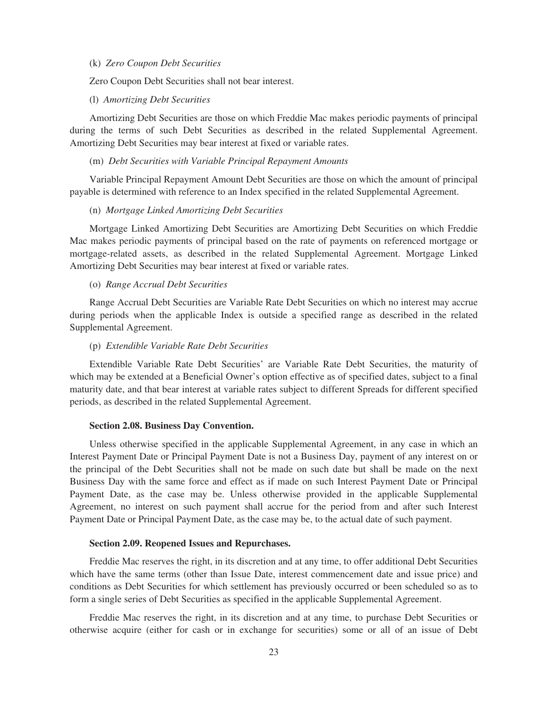# (k) *Zero Coupon Debt Securities*

Zero Coupon Debt Securities shall not bear interest.

# (l) *Amortizing Debt Securities*

Amortizing Debt Securities are those on which Freddie Mac makes periodic payments of principal during the terms of such Debt Securities as described in the related Supplemental Agreement. Amortizing Debt Securities may bear interest at fixed or variable rates.

# (m) *Debt Securities with Variable Principal Repayment Amounts*

Variable Principal Repayment Amount Debt Securities are those on which the amount of principal payable is determined with reference to an Index specified in the related Supplemental Agreement.

#### (n) *Mortgage Linked Amortizing Debt Securities*

Mortgage Linked Amortizing Debt Securities are Amortizing Debt Securities on which Freddie Mac makes periodic payments of principal based on the rate of payments on referenced mortgage or mortgage-related assets, as described in the related Supplemental Agreement. Mortgage Linked Amortizing Debt Securities may bear interest at fixed or variable rates.

#### (o) *Range Accrual Debt Securities*

Range Accrual Debt Securities are Variable Rate Debt Securities on which no interest may accrue during periods when the applicable Index is outside a specified range as described in the related Supplemental Agreement.

# (p) *Extendible Variable Rate Debt Securities*

Extendible Variable Rate Debt Securities' are Variable Rate Debt Securities, the maturity of which may be extended at a Beneficial Owner's option effective as of specified dates, subject to a final maturity date, and that bear interest at variable rates subject to different Spreads for different specified periods, as described in the related Supplemental Agreement.

# **Section 2.08. Business Day Convention.**

Unless otherwise specified in the applicable Supplemental Agreement, in any case in which an Interest Payment Date or Principal Payment Date is not a Business Day, payment of any interest on or the principal of the Debt Securities shall not be made on such date but shall be made on the next Business Day with the same force and effect as if made on such Interest Payment Date or Principal Payment Date, as the case may be. Unless otherwise provided in the applicable Supplemental Agreement, no interest on such payment shall accrue for the period from and after such Interest Payment Date or Principal Payment Date, as the case may be, to the actual date of such payment.

# **Section 2.09. Reopened Issues and Repurchases.**

Freddie Mac reserves the right, in its discretion and at any time, to offer additional Debt Securities which have the same terms (other than Issue Date, interest commencement date and issue price) and conditions as Debt Securities for which settlement has previously occurred or been scheduled so as to form a single series of Debt Securities as specified in the applicable Supplemental Agreement.

Freddie Mac reserves the right, in its discretion and at any time, to purchase Debt Securities or otherwise acquire (either for cash or in exchange for securities) some or all of an issue of Debt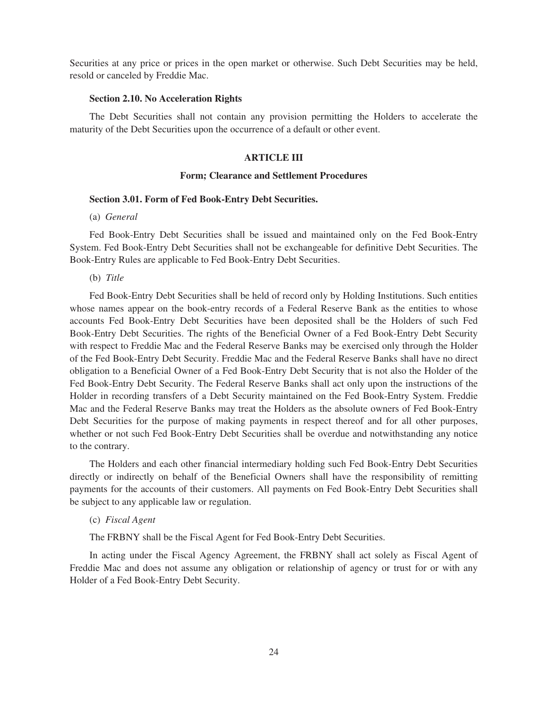Securities at any price or prices in the open market or otherwise. Such Debt Securities may be held, resold or canceled by Freddie Mac.

## **Section 2.10. No Acceleration Rights**

The Debt Securities shall not contain any provision permitting the Holders to accelerate the maturity of the Debt Securities upon the occurrence of a default or other event.

# **ARTICLE III**

# **Form; Clearance and Settlement Procedures**

# **Section 3.01. Form of Fed Book-Entry Debt Securities.**

(a) *General*

Fed Book-Entry Debt Securities shall be issued and maintained only on the Fed Book-Entry System. Fed Book-Entry Debt Securities shall not be exchangeable for definitive Debt Securities. The Book-Entry Rules are applicable to Fed Book-Entry Debt Securities.

(b) *Title*

Fed Book-Entry Debt Securities shall be held of record only by Holding Institutions. Such entities whose names appear on the book-entry records of a Federal Reserve Bank as the entities to whose accounts Fed Book-Entry Debt Securities have been deposited shall be the Holders of such Fed Book-Entry Debt Securities. The rights of the Beneficial Owner of a Fed Book-Entry Debt Security with respect to Freddie Mac and the Federal Reserve Banks may be exercised only through the Holder of the Fed Book-Entry Debt Security. Freddie Mac and the Federal Reserve Banks shall have no direct obligation to a Beneficial Owner of a Fed Book-Entry Debt Security that is not also the Holder of the Fed Book-Entry Debt Security. The Federal Reserve Banks shall act only upon the instructions of the Holder in recording transfers of a Debt Security maintained on the Fed Book-Entry System. Freddie Mac and the Federal Reserve Banks may treat the Holders as the absolute owners of Fed Book-Entry Debt Securities for the purpose of making payments in respect thereof and for all other purposes, whether or not such Fed Book-Entry Debt Securities shall be overdue and notwithstanding any notice to the contrary.

The Holders and each other financial intermediary holding such Fed Book-Entry Debt Securities directly or indirectly on behalf of the Beneficial Owners shall have the responsibility of remitting payments for the accounts of their customers. All payments on Fed Book-Entry Debt Securities shall be subject to any applicable law or regulation.

(c) *Fiscal Agent*

The FRBNY shall be the Fiscal Agent for Fed Book-Entry Debt Securities.

In acting under the Fiscal Agency Agreement, the FRBNY shall act solely as Fiscal Agent of Freddie Mac and does not assume any obligation or relationship of agency or trust for or with any Holder of a Fed Book-Entry Debt Security.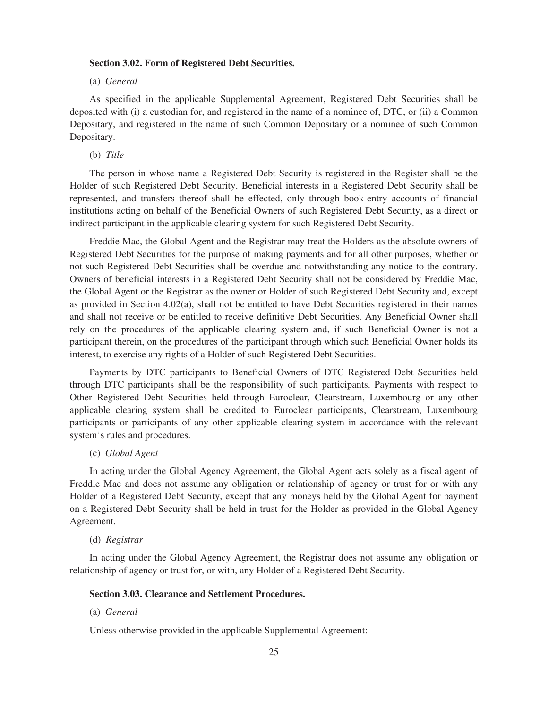# **Section 3.02. Form of Registered Debt Securities.**

#### (a) *General*

As specified in the applicable Supplemental Agreement, Registered Debt Securities shall be deposited with (i) a custodian for, and registered in the name of a nominee of, DTC, or (ii) a Common Depositary, and registered in the name of such Common Depositary or a nominee of such Common Depositary.

#### (b) *Title*

The person in whose name a Registered Debt Security is registered in the Register shall be the Holder of such Registered Debt Security. Beneficial interests in a Registered Debt Security shall be represented, and transfers thereof shall be effected, only through book-entry accounts of financial institutions acting on behalf of the Beneficial Owners of such Registered Debt Security, as a direct or indirect participant in the applicable clearing system for such Registered Debt Security.

Freddie Mac, the Global Agent and the Registrar may treat the Holders as the absolute owners of Registered Debt Securities for the purpose of making payments and for all other purposes, whether or not such Registered Debt Securities shall be overdue and notwithstanding any notice to the contrary. Owners of beneficial interests in a Registered Debt Security shall not be considered by Freddie Mac, the Global Agent or the Registrar as the owner or Holder of such Registered Debt Security and, except as provided in Section 4.02(a), shall not be entitled to have Debt Securities registered in their names and shall not receive or be entitled to receive definitive Debt Securities. Any Beneficial Owner shall rely on the procedures of the applicable clearing system and, if such Beneficial Owner is not a participant therein, on the procedures of the participant through which such Beneficial Owner holds its interest, to exercise any rights of a Holder of such Registered Debt Securities.

Payments by DTC participants to Beneficial Owners of DTC Registered Debt Securities held through DTC participants shall be the responsibility of such participants. Payments with respect to Other Registered Debt Securities held through Euroclear, Clearstream, Luxembourg or any other applicable clearing system shall be credited to Euroclear participants, Clearstream, Luxembourg participants or participants of any other applicable clearing system in accordance with the relevant system's rules and procedures.

# (c) *Global Agent*

In acting under the Global Agency Agreement, the Global Agent acts solely as a fiscal agent of Freddie Mac and does not assume any obligation or relationship of agency or trust for or with any Holder of a Registered Debt Security, except that any moneys held by the Global Agent for payment on a Registered Debt Security shall be held in trust for the Holder as provided in the Global Agency Agreement.

#### (d) *Registrar*

In acting under the Global Agency Agreement, the Registrar does not assume any obligation or relationship of agency or trust for, or with, any Holder of a Registered Debt Security.

## **Section 3.03. Clearance and Settlement Procedures.**

(a) *General*

Unless otherwise provided in the applicable Supplemental Agreement: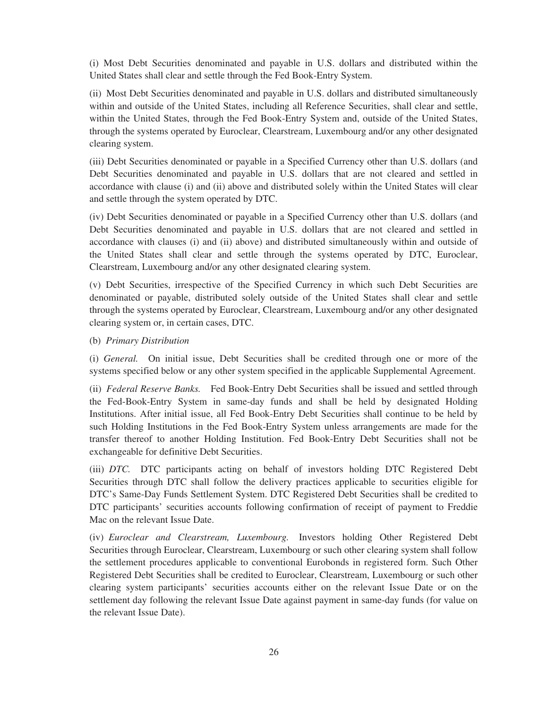(i) Most Debt Securities denominated and payable in U.S. dollars and distributed within the United States shall clear and settle through the Fed Book-Entry System.

(ii) Most Debt Securities denominated and payable in U.S. dollars and distributed simultaneously within and outside of the United States, including all Reference Securities, shall clear and settle, within the United States, through the Fed Book-Entry System and, outside of the United States, through the systems operated by Euroclear, Clearstream, Luxembourg and/or any other designated clearing system.

(iii) Debt Securities denominated or payable in a Specified Currency other than U.S. dollars (and Debt Securities denominated and payable in U.S. dollars that are not cleared and settled in accordance with clause (i) and (ii) above and distributed solely within the United States will clear and settle through the system operated by DTC.

(iv) Debt Securities denominated or payable in a Specified Currency other than U.S. dollars (and Debt Securities denominated and payable in U.S. dollars that are not cleared and settled in accordance with clauses (i) and (ii) above) and distributed simultaneously within and outside of the United States shall clear and settle through the systems operated by DTC, Euroclear, Clearstream, Luxembourg and/or any other designated clearing system.

(v) Debt Securities, irrespective of the Specified Currency in which such Debt Securities are denominated or payable, distributed solely outside of the United States shall clear and settle through the systems operated by Euroclear, Clearstream, Luxembourg and/or any other designated clearing system or, in certain cases, DTC.

(b) *Primary Distribution*

(i) *General.* On initial issue, Debt Securities shall be credited through one or more of the systems specified below or any other system specified in the applicable Supplemental Agreement.

(ii) *Federal Reserve Banks.* Fed Book-Entry Debt Securities shall be issued and settled through the Fed-Book-Entry System in same-day funds and shall be held by designated Holding Institutions. After initial issue, all Fed Book-Entry Debt Securities shall continue to be held by such Holding Institutions in the Fed Book-Entry System unless arrangements are made for the transfer thereof to another Holding Institution. Fed Book-Entry Debt Securities shall not be exchangeable for definitive Debt Securities.

(iii) *DTC.* DTC participants acting on behalf of investors holding DTC Registered Debt Securities through DTC shall follow the delivery practices applicable to securities eligible for DTC's Same-Day Funds Settlement System. DTC Registered Debt Securities shall be credited to DTC participants' securities accounts following confirmation of receipt of payment to Freddie Mac on the relevant Issue Date.

(iv) *Euroclear and Clearstream, Luxembourg.* Investors holding Other Registered Debt Securities through Euroclear, Clearstream, Luxembourg or such other clearing system shall follow the settlement procedures applicable to conventional Eurobonds in registered form. Such Other Registered Debt Securities shall be credited to Euroclear, Clearstream, Luxembourg or such other clearing system participants' securities accounts either on the relevant Issue Date or on the settlement day following the relevant Issue Date against payment in same-day funds (for value on the relevant Issue Date).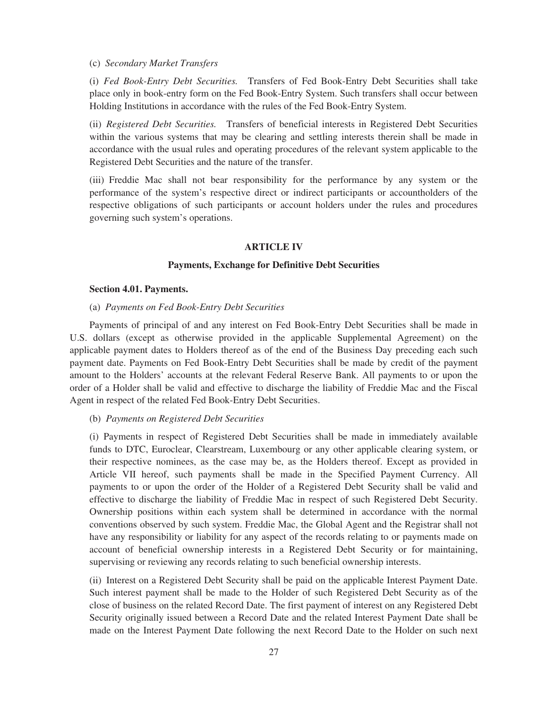# (c) *Secondary Market Transfers*

(i) *Fed Book-Entry Debt Securities.* Transfers of Fed Book-Entry Debt Securities shall take place only in book-entry form on the Fed Book-Entry System. Such transfers shall occur between Holding Institutions in accordance with the rules of the Fed Book-Entry System.

(ii) *Registered Debt Securities.* Transfers of beneficial interests in Registered Debt Securities within the various systems that may be clearing and settling interests therein shall be made in accordance with the usual rules and operating procedures of the relevant system applicable to the Registered Debt Securities and the nature of the transfer.

(iii) Freddie Mac shall not bear responsibility for the performance by any system or the performance of the system's respective direct or indirect participants or accountholders of the respective obligations of such participants or account holders under the rules and procedures governing such system's operations.

## **ARTICLE IV**

# **Payments, Exchange for Definitive Debt Securities**

#### **Section 4.01. Payments.**

# (a) *Payments on Fed Book-Entry Debt Securities*

Payments of principal of and any interest on Fed Book-Entry Debt Securities shall be made in U.S. dollars (except as otherwise provided in the applicable Supplemental Agreement) on the applicable payment dates to Holders thereof as of the end of the Business Day preceding each such payment date. Payments on Fed Book-Entry Debt Securities shall be made by credit of the payment amount to the Holders' accounts at the relevant Federal Reserve Bank. All payments to or upon the order of a Holder shall be valid and effective to discharge the liability of Freddie Mac and the Fiscal Agent in respect of the related Fed Book-Entry Debt Securities.

# (b) *Payments on Registered Debt Securities*

(i) Payments in respect of Registered Debt Securities shall be made in immediately available funds to DTC, Euroclear, Clearstream, Luxembourg or any other applicable clearing system, or their respective nominees, as the case may be, as the Holders thereof. Except as provided in Article VII hereof, such payments shall be made in the Specified Payment Currency. All payments to or upon the order of the Holder of a Registered Debt Security shall be valid and effective to discharge the liability of Freddie Mac in respect of such Registered Debt Security. Ownership positions within each system shall be determined in accordance with the normal conventions observed by such system. Freddie Mac, the Global Agent and the Registrar shall not have any responsibility or liability for any aspect of the records relating to or payments made on account of beneficial ownership interests in a Registered Debt Security or for maintaining, supervising or reviewing any records relating to such beneficial ownership interests.

(ii) Interest on a Registered Debt Security shall be paid on the applicable Interest Payment Date. Such interest payment shall be made to the Holder of such Registered Debt Security as of the close of business on the related Record Date. The first payment of interest on any Registered Debt Security originally issued between a Record Date and the related Interest Payment Date shall be made on the Interest Payment Date following the next Record Date to the Holder on such next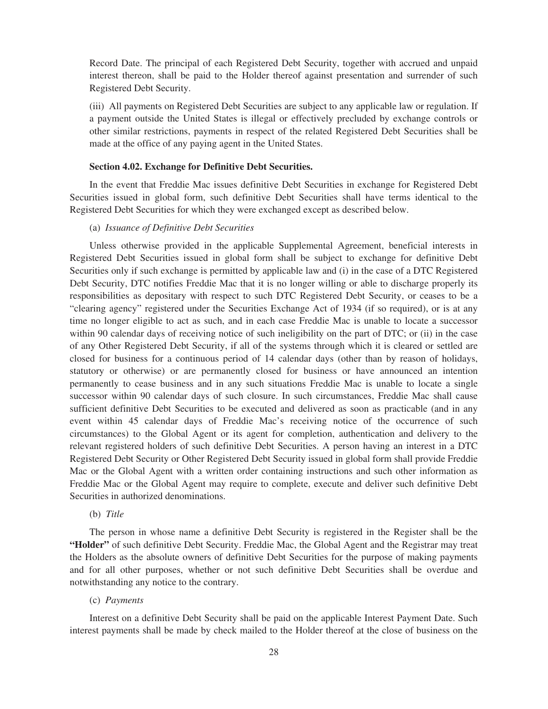Record Date. The principal of each Registered Debt Security, together with accrued and unpaid interest thereon, shall be paid to the Holder thereof against presentation and surrender of such Registered Debt Security.

(iii) All payments on Registered Debt Securities are subject to any applicable law or regulation. If a payment outside the United States is illegal or effectively precluded by exchange controls or other similar restrictions, payments in respect of the related Registered Debt Securities shall be made at the office of any paying agent in the United States.

# **Section 4.02. Exchange for Definitive Debt Securities.**

In the event that Freddie Mac issues definitive Debt Securities in exchange for Registered Debt Securities issued in global form, such definitive Debt Securities shall have terms identical to the Registered Debt Securities for which they were exchanged except as described below.

# (a) *Issuance of Definitive Debt Securities*

Unless otherwise provided in the applicable Supplemental Agreement, beneficial interests in Registered Debt Securities issued in global form shall be subject to exchange for definitive Debt Securities only if such exchange is permitted by applicable law and (i) in the case of a DTC Registered Debt Security, DTC notifies Freddie Mac that it is no longer willing or able to discharge properly its responsibilities as depositary with respect to such DTC Registered Debt Security, or ceases to be a "clearing agency" registered under the Securities Exchange Act of 1934 (if so required), or is at any time no longer eligible to act as such, and in each case Freddie Mac is unable to locate a successor within 90 calendar days of receiving notice of such ineligibility on the part of DTC; or (ii) in the case of any Other Registered Debt Security, if all of the systems through which it is cleared or settled are closed for business for a continuous period of 14 calendar days (other than by reason of holidays, statutory or otherwise) or are permanently closed for business or have announced an intention permanently to cease business and in any such situations Freddie Mac is unable to locate a single successor within 90 calendar days of such closure. In such circumstances, Freddie Mac shall cause sufficient definitive Debt Securities to be executed and delivered as soon as practicable (and in any event within 45 calendar days of Freddie Mac's receiving notice of the occurrence of such circumstances) to the Global Agent or its agent for completion, authentication and delivery to the relevant registered holders of such definitive Debt Securities. A person having an interest in a DTC Registered Debt Security or Other Registered Debt Security issued in global form shall provide Freddie Mac or the Global Agent with a written order containing instructions and such other information as Freddie Mac or the Global Agent may require to complete, execute and deliver such definitive Debt Securities in authorized denominations.

(b) *Title*

The person in whose name a definitive Debt Security is registered in the Register shall be the **"Holder"** of such definitive Debt Security. Freddie Mac, the Global Agent and the Registrar may treat the Holders as the absolute owners of definitive Debt Securities for the purpose of making payments and for all other purposes, whether or not such definitive Debt Securities shall be overdue and notwithstanding any notice to the contrary.

#### (c) *Payments*

Interest on a definitive Debt Security shall be paid on the applicable Interest Payment Date. Such interest payments shall be made by check mailed to the Holder thereof at the close of business on the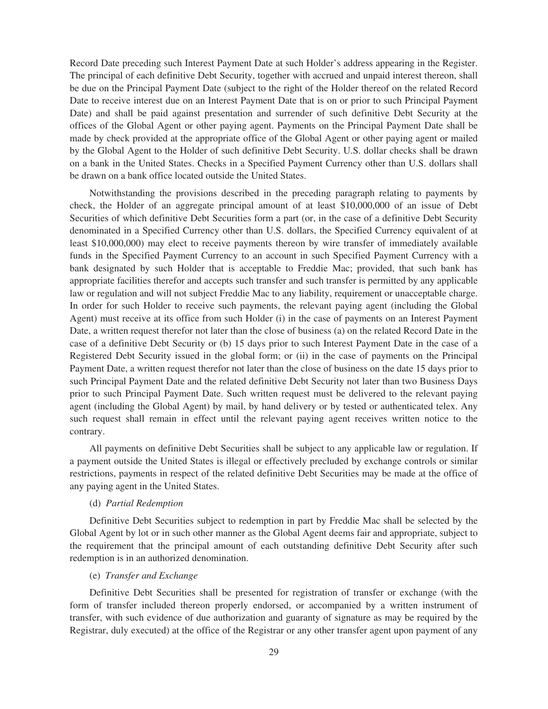Record Date preceding such Interest Payment Date at such Holder's address appearing in the Register. The principal of each definitive Debt Security, together with accrued and unpaid interest thereon, shall be due on the Principal Payment Date (subject to the right of the Holder thereof on the related Record Date to receive interest due on an Interest Payment Date that is on or prior to such Principal Payment Date) and shall be paid against presentation and surrender of such definitive Debt Security at the offices of the Global Agent or other paying agent. Payments on the Principal Payment Date shall be made by check provided at the appropriate office of the Global Agent or other paying agent or mailed by the Global Agent to the Holder of such definitive Debt Security. U.S. dollar checks shall be drawn on a bank in the United States. Checks in a Specified Payment Currency other than U.S. dollars shall be drawn on a bank office located outside the United States.

Notwithstanding the provisions described in the preceding paragraph relating to payments by check, the Holder of an aggregate principal amount of at least \$10,000,000 of an issue of Debt Securities of which definitive Debt Securities form a part (or, in the case of a definitive Debt Security denominated in a Specified Currency other than U.S. dollars, the Specified Currency equivalent of at least \$10,000,000) may elect to receive payments thereon by wire transfer of immediately available funds in the Specified Payment Currency to an account in such Specified Payment Currency with a bank designated by such Holder that is acceptable to Freddie Mac; provided, that such bank has appropriate facilities therefor and accepts such transfer and such transfer is permitted by any applicable law or regulation and will not subject Freddie Mac to any liability, requirement or unacceptable charge. In order for such Holder to receive such payments, the relevant paying agent (including the Global Agent) must receive at its office from such Holder (i) in the case of payments on an Interest Payment Date, a written request therefor not later than the close of business (a) on the related Record Date in the case of a definitive Debt Security or (b) 15 days prior to such Interest Payment Date in the case of a Registered Debt Security issued in the global form; or (ii) in the case of payments on the Principal Payment Date, a written request therefor not later than the close of business on the date 15 days prior to such Principal Payment Date and the related definitive Debt Security not later than two Business Days prior to such Principal Payment Date. Such written request must be delivered to the relevant paying agent (including the Global Agent) by mail, by hand delivery or by tested or authenticated telex. Any such request shall remain in effect until the relevant paying agent receives written notice to the contrary.

All payments on definitive Debt Securities shall be subject to any applicable law or regulation. If a payment outside the United States is illegal or effectively precluded by exchange controls or similar restrictions, payments in respect of the related definitive Debt Securities may be made at the office of any paying agent in the United States.

# (d) *Partial Redemption*

Definitive Debt Securities subject to redemption in part by Freddie Mac shall be selected by the Global Agent by lot or in such other manner as the Global Agent deems fair and appropriate, subject to the requirement that the principal amount of each outstanding definitive Debt Security after such redemption is in an authorized denomination.

# (e) *Transfer and Exchange*

Definitive Debt Securities shall be presented for registration of transfer or exchange (with the form of transfer included thereon properly endorsed, or accompanied by a written instrument of transfer, with such evidence of due authorization and guaranty of signature as may be required by the Registrar, duly executed) at the office of the Registrar or any other transfer agent upon payment of any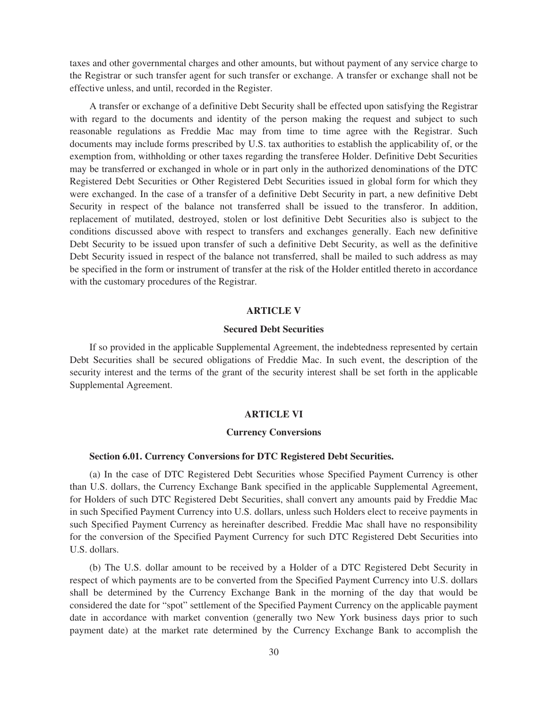taxes and other governmental charges and other amounts, but without payment of any service charge to the Registrar or such transfer agent for such transfer or exchange. A transfer or exchange shall not be effective unless, and until, recorded in the Register.

A transfer or exchange of a definitive Debt Security shall be effected upon satisfying the Registrar with regard to the documents and identity of the person making the request and subject to such reasonable regulations as Freddie Mac may from time to time agree with the Registrar. Such documents may include forms prescribed by U.S. tax authorities to establish the applicability of, or the exemption from, withholding or other taxes regarding the transferee Holder. Definitive Debt Securities may be transferred or exchanged in whole or in part only in the authorized denominations of the DTC Registered Debt Securities or Other Registered Debt Securities issued in global form for which they were exchanged. In the case of a transfer of a definitive Debt Security in part, a new definitive Debt Security in respect of the balance not transferred shall be issued to the transferor. In addition, replacement of mutilated, destroyed, stolen or lost definitive Debt Securities also is subject to the conditions discussed above with respect to transfers and exchanges generally. Each new definitive Debt Security to be issued upon transfer of such a definitive Debt Security, as well as the definitive Debt Security issued in respect of the balance not transferred, shall be mailed to such address as may be specified in the form or instrument of transfer at the risk of the Holder entitled thereto in accordance with the customary procedures of the Registrar.

# **ARTICLE V**

# **Secured Debt Securities**

If so provided in the applicable Supplemental Agreement, the indebtedness represented by certain Debt Securities shall be secured obligations of Freddie Mac. In such event, the description of the security interest and the terms of the grant of the security interest shall be set forth in the applicable Supplemental Agreement.

### **ARTICLE VI**

#### **Currency Conversions**

#### **Section 6.01. Currency Conversions for DTC Registered Debt Securities.**

(a) In the case of DTC Registered Debt Securities whose Specified Payment Currency is other than U.S. dollars, the Currency Exchange Bank specified in the applicable Supplemental Agreement, for Holders of such DTC Registered Debt Securities, shall convert any amounts paid by Freddie Mac in such Specified Payment Currency into U.S. dollars, unless such Holders elect to receive payments in such Specified Payment Currency as hereinafter described. Freddie Mac shall have no responsibility for the conversion of the Specified Payment Currency for such DTC Registered Debt Securities into U.S. dollars.

(b) The U.S. dollar amount to be received by a Holder of a DTC Registered Debt Security in respect of which payments are to be converted from the Specified Payment Currency into U.S. dollars shall be determined by the Currency Exchange Bank in the morning of the day that would be considered the date for "spot" settlement of the Specified Payment Currency on the applicable payment date in accordance with market convention (generally two New York business days prior to such payment date) at the market rate determined by the Currency Exchange Bank to accomplish the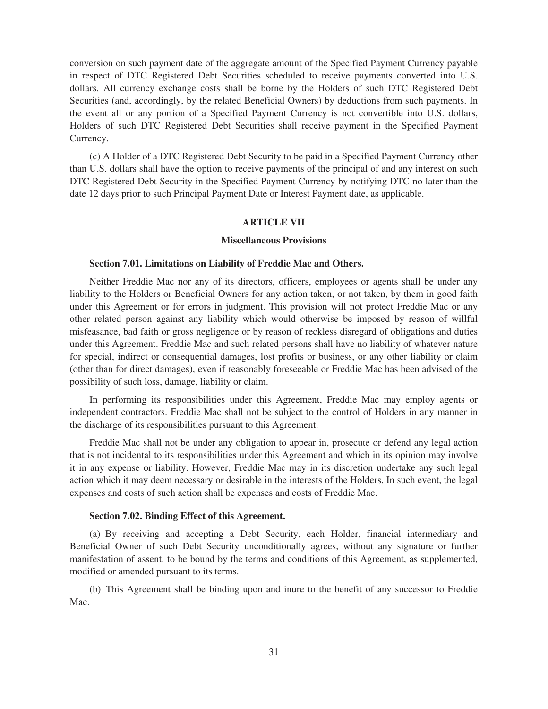conversion on such payment date of the aggregate amount of the Specified Payment Currency payable in respect of DTC Registered Debt Securities scheduled to receive payments converted into U.S. dollars. All currency exchange costs shall be borne by the Holders of such DTC Registered Debt Securities (and, accordingly, by the related Beneficial Owners) by deductions from such payments. In the event all or any portion of a Specified Payment Currency is not convertible into U.S. dollars, Holders of such DTC Registered Debt Securities shall receive payment in the Specified Payment Currency.

(c) A Holder of a DTC Registered Debt Security to be paid in a Specified Payment Currency other than U.S. dollars shall have the option to receive payments of the principal of and any interest on such DTC Registered Debt Security in the Specified Payment Currency by notifying DTC no later than the date 12 days prior to such Principal Payment Date or Interest Payment date, as applicable.

# **ARTICLE VII**

## **Miscellaneous Provisions**

## **Section 7.01. Limitations on Liability of Freddie Mac and Others.**

Neither Freddie Mac nor any of its directors, officers, employees or agents shall be under any liability to the Holders or Beneficial Owners for any action taken, or not taken, by them in good faith under this Agreement or for errors in judgment. This provision will not protect Freddie Mac or any other related person against any liability which would otherwise be imposed by reason of willful misfeasance, bad faith or gross negligence or by reason of reckless disregard of obligations and duties under this Agreement. Freddie Mac and such related persons shall have no liability of whatever nature for special, indirect or consequential damages, lost profits or business, or any other liability or claim (other than for direct damages), even if reasonably foreseeable or Freddie Mac has been advised of the possibility of such loss, damage, liability or claim.

In performing its responsibilities under this Agreement, Freddie Mac may employ agents or independent contractors. Freddie Mac shall not be subject to the control of Holders in any manner in the discharge of its responsibilities pursuant to this Agreement.

Freddie Mac shall not be under any obligation to appear in, prosecute or defend any legal action that is not incidental to its responsibilities under this Agreement and which in its opinion may involve it in any expense or liability. However, Freddie Mac may in its discretion undertake any such legal action which it may deem necessary or desirable in the interests of the Holders. In such event, the legal expenses and costs of such action shall be expenses and costs of Freddie Mac.

## **Section 7.02. Binding Effect of this Agreement.**

(a) By receiving and accepting a Debt Security, each Holder, financial intermediary and Beneficial Owner of such Debt Security unconditionally agrees, without any signature or further manifestation of assent, to be bound by the terms and conditions of this Agreement, as supplemented, modified or amended pursuant to its terms.

(b) This Agreement shall be binding upon and inure to the benefit of any successor to Freddie Mac.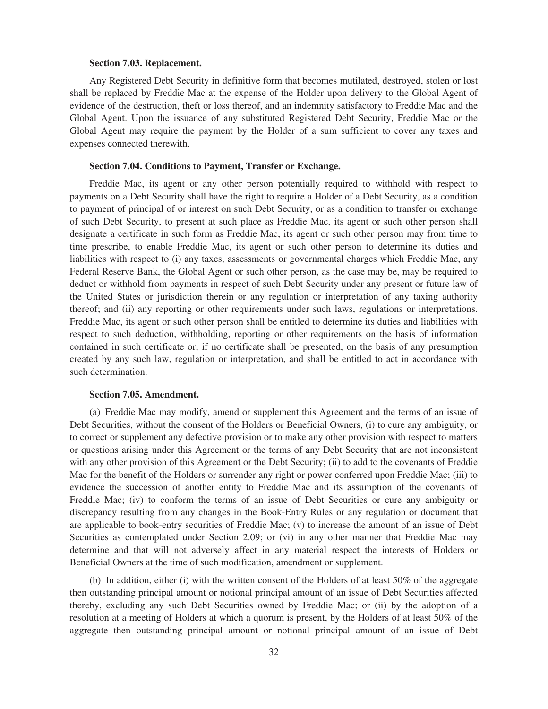## **Section 7.03. Replacement.**

Any Registered Debt Security in definitive form that becomes mutilated, destroyed, stolen or lost shall be replaced by Freddie Mac at the expense of the Holder upon delivery to the Global Agent of evidence of the destruction, theft or loss thereof, and an indemnity satisfactory to Freddie Mac and the Global Agent. Upon the issuance of any substituted Registered Debt Security, Freddie Mac or the Global Agent may require the payment by the Holder of a sum sufficient to cover any taxes and expenses connected therewith.

# **Section 7.04. Conditions to Payment, Transfer or Exchange.**

Freddie Mac, its agent or any other person potentially required to withhold with respect to payments on a Debt Security shall have the right to require a Holder of a Debt Security, as a condition to payment of principal of or interest on such Debt Security, or as a condition to transfer or exchange of such Debt Security, to present at such place as Freddie Mac, its agent or such other person shall designate a certificate in such form as Freddie Mac, its agent or such other person may from time to time prescribe, to enable Freddie Mac, its agent or such other person to determine its duties and liabilities with respect to (i) any taxes, assessments or governmental charges which Freddie Mac, any Federal Reserve Bank, the Global Agent or such other person, as the case may be, may be required to deduct or withhold from payments in respect of such Debt Security under any present or future law of the United States or jurisdiction therein or any regulation or interpretation of any taxing authority thereof; and (ii) any reporting or other requirements under such laws, regulations or interpretations. Freddie Mac, its agent or such other person shall be entitled to determine its duties and liabilities with respect to such deduction, withholding, reporting or other requirements on the basis of information contained in such certificate or, if no certificate shall be presented, on the basis of any presumption created by any such law, regulation or interpretation, and shall be entitled to act in accordance with such determination.

## **Section 7.05. Amendment.**

(a) Freddie Mac may modify, amend or supplement this Agreement and the terms of an issue of Debt Securities, without the consent of the Holders or Beneficial Owners, (i) to cure any ambiguity, or to correct or supplement any defective provision or to make any other provision with respect to matters or questions arising under this Agreement or the terms of any Debt Security that are not inconsistent with any other provision of this Agreement or the Debt Security; (ii) to add to the covenants of Freddie Mac for the benefit of the Holders or surrender any right or power conferred upon Freddie Mac; (iii) to evidence the succession of another entity to Freddie Mac and its assumption of the covenants of Freddie Mac; (iv) to conform the terms of an issue of Debt Securities or cure any ambiguity or discrepancy resulting from any changes in the Book-Entry Rules or any regulation or document that are applicable to book-entry securities of Freddie Mac; (v) to increase the amount of an issue of Debt Securities as contemplated under Section 2.09; or (vi) in any other manner that Freddie Mac may determine and that will not adversely affect in any material respect the interests of Holders or Beneficial Owners at the time of such modification, amendment or supplement.

(b) In addition, either (i) with the written consent of the Holders of at least 50% of the aggregate then outstanding principal amount or notional principal amount of an issue of Debt Securities affected thereby, excluding any such Debt Securities owned by Freddie Mac; or (ii) by the adoption of a resolution at a meeting of Holders at which a quorum is present, by the Holders of at least 50% of the aggregate then outstanding principal amount or notional principal amount of an issue of Debt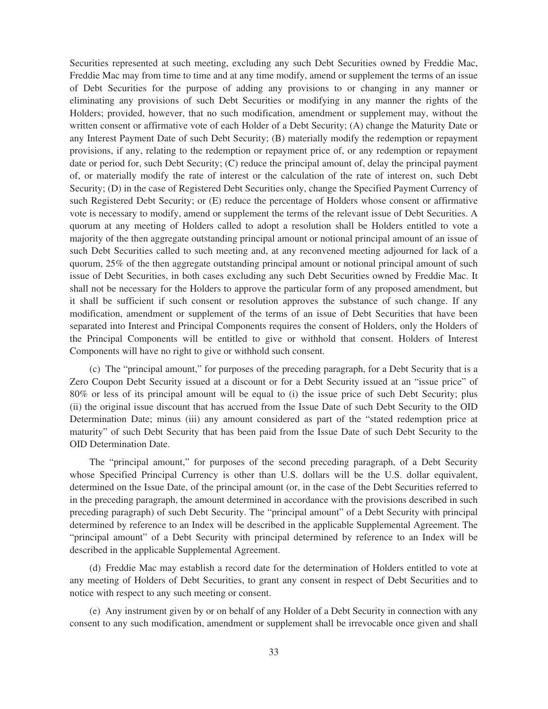Securities represented at such meeting, excluding any such Debt Securities owned by Freddie Mac, Freddie Mac may from time to time and at any time modify, amend or supplement the terms of an issue of Debt Securities for the purpose of adding any provisions to or changing in any manner or eliminating any provisions of such Debt Securities or modifying in any manner the rights of the Holders; provided, however, that no such modification, amendment or supplement may, without the written consent or affirmative vote of each Holder of a Debt Security; (A) change the Maturity Date or any Interest Payment Date of such Debt Security; (B) materially modify the redemption or repayment provisions, if any, relating to the redemption or repayment price of, or any redemption or repayment date or period for, such Debt Security; (C) reduce the principal amount of, delay the principal payment of, or materially modify the rate of interest or the calculation of the rate of interest on, such Debt Security; (D) in the case of Registered Debt Securities only, change the Specified Payment Currency of such Registered Debt Security; or (E) reduce the percentage of Holders whose consent or affirmative vote is necessary to modify, amend or supplement the terms of the relevant issue of Debt Securities. A quorum at any meeting of Holders called to adopt a resolution shall be Holders entitled to vote a majority of the then aggregate outstanding principal amount or notional principal amount of an issue of such Debt Securities called to such meeting and, at any reconvened meeting adjourned for lack of a quorum, 25% of the then aggregate outstanding principal amount or notional principal amount of such issue of Debt Securities, in both cases excluding any such Debt Securities owned by Freddie Mac. It shall not be necessary for the Holders to approve the particular form of any proposed amendment, but it shall be sufficient if such consent or resolution approves the substance of such change. If any modification, amendment or supplement of the terms of an issue of Debt Securities that have been separated into Interest and Principal Components requires the consent of Holders, only the Holders of the Principal Components will be entitled to give or withhold that consent. Holders of Interest Components will have no right to give or withhold such consent.

(c) The "principal amount," for purposes of the preceding paragraph, for a Debt Security that is a Zero Coupon Debt Security issued at a discount or for a Debt Security issued at an "issue price" of 80% or less of its principal amount will be equal to (i) the issue price of such Debt Security; plus (ii) the original issue discount that has accrued from the Issue Date of such Debt Security to the OID Determination Date; minus (iii) any amount considered as part of the "stated redemption price at maturity" of such Debt Security that has been paid from the Issue Date of such Debt Security to the OID Determination Date.

The "principal amount," for purposes of the second preceding paragraph, of a Debt Security whose Specified Principal Currency is other than U.S. dollars will be the U.S. dollar equivalent, determined on the Issue Date, of the principal amount (or, in the case of the Debt Securities referred to in the preceding paragraph, the amount determined in accordance with the provisions described in such preceding paragraph) of such Debt Security. The "principal amount" of a Debt Security with principal determined by reference to an Index will be described in the applicable Supplemental Agreement. The "principal amount" of a Debt Security with principal determined by reference to an Index will be described in the applicable Supplemental Agreement.

(d) Freddie Mac may establish a record date for the determination of Holders entitled to vote at any meeting of Holders of Debt Securities, to grant any consent in respect of Debt Securities and to notice with respect to any such meeting or consent.

(e) Any instrument given by or on behalf of any Holder of a Debt Security in connection with any consent to any such modification, amendment or supplement shall be irrevocable once given and shall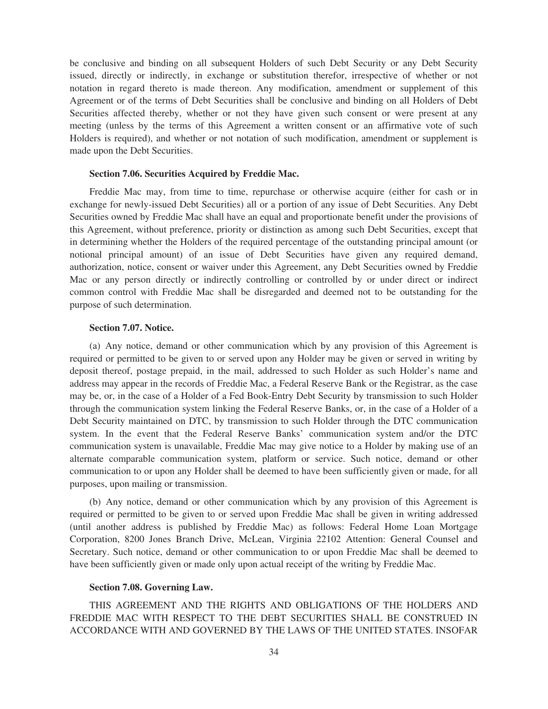be conclusive and binding on all subsequent Holders of such Debt Security or any Debt Security issued, directly or indirectly, in exchange or substitution therefor, irrespective of whether or not notation in regard thereto is made thereon. Any modification, amendment or supplement of this Agreement or of the terms of Debt Securities shall be conclusive and binding on all Holders of Debt Securities affected thereby, whether or not they have given such consent or were present at any meeting (unless by the terms of this Agreement a written consent or an affirmative vote of such Holders is required), and whether or not notation of such modification, amendment or supplement is made upon the Debt Securities.

#### **Section 7.06. Securities Acquired by Freddie Mac.**

Freddie Mac may, from time to time, repurchase or otherwise acquire (either for cash or in exchange for newly-issued Debt Securities) all or a portion of any issue of Debt Securities. Any Debt Securities owned by Freddie Mac shall have an equal and proportionate benefit under the provisions of this Agreement, without preference, priority or distinction as among such Debt Securities, except that in determining whether the Holders of the required percentage of the outstanding principal amount (or notional principal amount) of an issue of Debt Securities have given any required demand, authorization, notice, consent or waiver under this Agreement, any Debt Securities owned by Freddie Mac or any person directly or indirectly controlling or controlled by or under direct or indirect common control with Freddie Mac shall be disregarded and deemed not to be outstanding for the purpose of such determination.

# **Section 7.07. Notice.**

(a) Any notice, demand or other communication which by any provision of this Agreement is required or permitted to be given to or served upon any Holder may be given or served in writing by deposit thereof, postage prepaid, in the mail, addressed to such Holder as such Holder's name and address may appear in the records of Freddie Mac, a Federal Reserve Bank or the Registrar, as the case may be, or, in the case of a Holder of a Fed Book-Entry Debt Security by transmission to such Holder through the communication system linking the Federal Reserve Banks, or, in the case of a Holder of a Debt Security maintained on DTC, by transmission to such Holder through the DTC communication system. In the event that the Federal Reserve Banks' communication system and/or the DTC communication system is unavailable, Freddie Mac may give notice to a Holder by making use of an alternate comparable communication system, platform or service. Such notice, demand or other communication to or upon any Holder shall be deemed to have been sufficiently given or made, for all purposes, upon mailing or transmission.

(b) Any notice, demand or other communication which by any provision of this Agreement is required or permitted to be given to or served upon Freddie Mac shall be given in writing addressed (until another address is published by Freddie Mac) as follows: Federal Home Loan Mortgage Corporation, 8200 Jones Branch Drive, McLean, Virginia 22102 Attention: General Counsel and Secretary. Such notice, demand or other communication to or upon Freddie Mac shall be deemed to have been sufficiently given or made only upon actual receipt of the writing by Freddie Mac.

#### **Section 7.08. Governing Law.**

THIS AGREEMENT AND THE RIGHTS AND OBLIGATIONS OF THE HOLDERS AND FREDDIE MAC WITH RESPECT TO THE DEBT SECURITIES SHALL BE CONSTRUED IN ACCORDANCE WITH AND GOVERNED BY THE LAWS OF THE UNITED STATES. INSOFAR